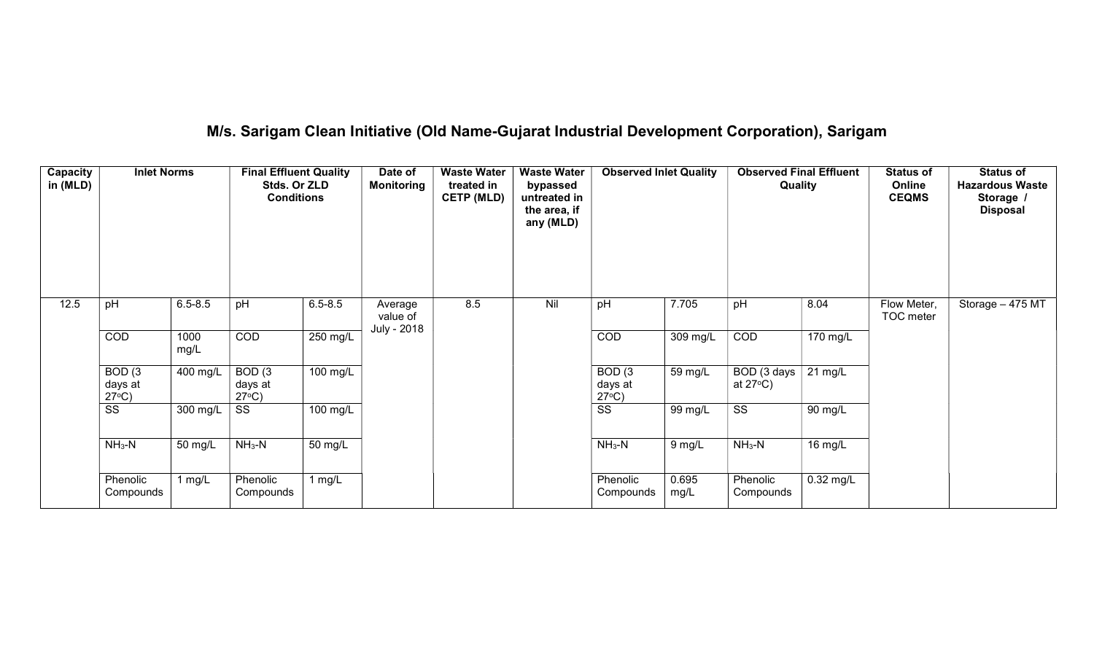# M/s. Sarigam Clean Initiative (Old Name-Gujarat Industrial Development Corporation), Sarigam

| Capacity<br>in (MLD) | <b>Inlet Norms</b>                              |              | <b>Final Effluent Quality</b><br>Stds. Or ZLD<br><b>Conditions</b> |             | Date of<br><b>Monitoring</b> | <b>Waste Water</b><br>treated in<br><b>CETP (MLD)</b> | <b>Waste Water</b><br>bypassed<br>untreated in<br>the area, if<br>any (MLD) | <b>Observed Inlet Quality</b>                   |               | <b>Observed Final Effluent</b><br>Quality |                    | <b>Status of</b><br>Online<br><b>CEQMS</b> | <b>Status of</b><br><b>Hazardous Waste</b><br>Storage /<br><b>Disposal</b> |
|----------------------|-------------------------------------------------|--------------|--------------------------------------------------------------------|-------------|------------------------------|-------------------------------------------------------|-----------------------------------------------------------------------------|-------------------------------------------------|---------------|-------------------------------------------|--------------------|--------------------------------------------|----------------------------------------------------------------------------|
| 12.5                 | pH                                              | $6.5 - 8.5$  | pH                                                                 | $6.5 - 8.5$ | Average<br>value of          | 8.5                                                   | Nil                                                                         | pH                                              | 7.705         | pH                                        | 8.04               | Flow Meter,<br>TOC meter                   | Storage - 475 MT                                                           |
|                      | COD                                             | 1000<br>mg/L | COD                                                                | 250 mg/L    | July - 2018                  |                                                       |                                                                             | COD                                             | 309 mg/L      | COD                                       | $170 \text{ mg/L}$ |                                            |                                                                            |
|                      | BOD <sub>(3</sub><br>days at<br>$27^{\circ}C$ ) | 400 mg/L     | BOD <sub>(3</sub><br>days at<br>$27^{\circ}C$ )                    | 100 mg/L    |                              |                                                       |                                                                             | BOD <sub>(3</sub><br>days at<br>$27^{\circ}C$ ) | 59 mg/L       | BOD (3 days<br>at $27^{\circ}$ C)         | $21 \text{ mg/L}$  |                                            |                                                                            |
|                      | $\overline{\text{ss}}$                          | 300 mg/L     | SS                                                                 | 100 mg/L    |                              |                                                       |                                                                             | $\overline{\text{ss}}$                          | 99 mg/L       | $\overline{\text{ss}}$                    | 90 mg/L            |                                            |                                                                            |
|                      | $NH3-N$                                         | 50 mg/L      | $NH3-N$                                                            | 50 mg/L     |                              |                                                       |                                                                             | $NH3-N$                                         | $9$ mg/L      | $NH3-N$                                   | 16 mg/L            |                                            |                                                                            |
|                      | Phenolic<br>Compounds                           | 1 mg/L       | Phenolic<br>Compounds                                              | 1 $mg/L$    |                              |                                                       |                                                                             | Phenolic<br>Compounds                           | 0.695<br>mg/L | Phenolic<br>Compounds                     | $0.32$ mg/L        |                                            |                                                                            |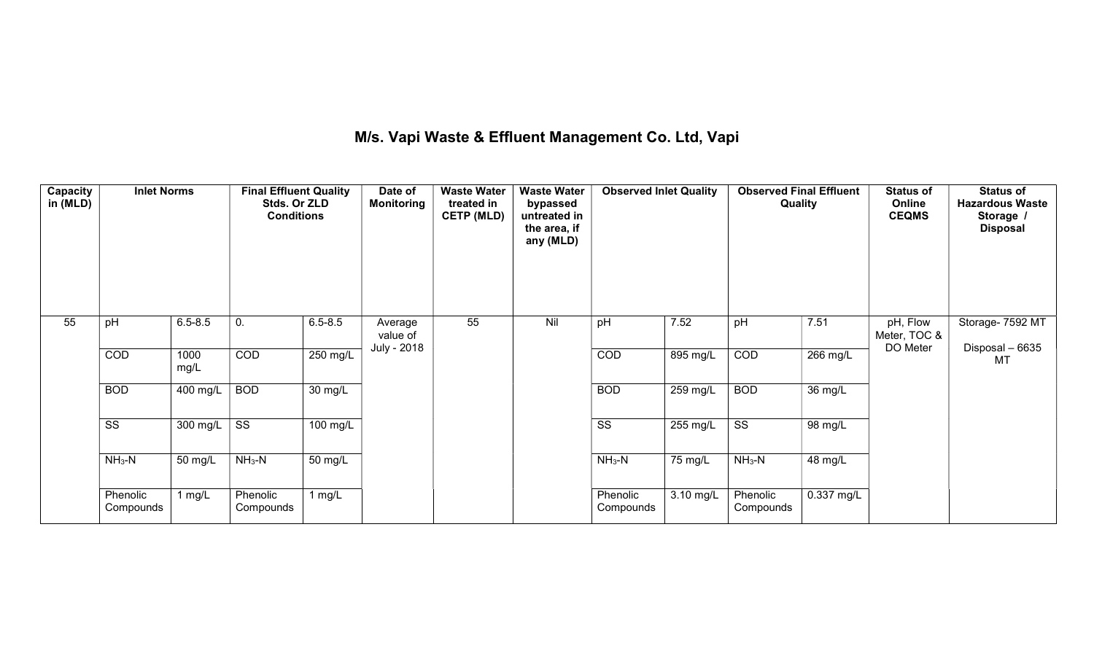## M/s. Vapi Waste & Effluent Management Co. Ltd, Vapi

| Capacity<br>in (MLD) | <b>Inlet Norms</b>    |                  | <b>Final Effluent Quality</b><br>Stds. Or ZLD<br><b>Conditions</b> |                      | Date of<br><b>Monitoring</b> | <b>Waste Water</b><br>treated in<br><b>CETP (MLD)</b> | <b>Waste Water</b><br>bypassed<br>untreated in<br>the area, if<br>any (MLD) | <b>Observed Inlet Quality</b> |            |                        | <b>Observed Final Effluent</b><br>Quality | <b>Status of</b><br>Online<br><b>CEQMS</b> | <b>Status of</b><br><b>Hazardous Waste</b><br>Storage /<br><b>Disposal</b> |
|----------------------|-----------------------|------------------|--------------------------------------------------------------------|----------------------|------------------------------|-------------------------------------------------------|-----------------------------------------------------------------------------|-------------------------------|------------|------------------------|-------------------------------------------|--------------------------------------------|----------------------------------------------------------------------------|
| 55                   | pH                    | $6.5 - 8.5$      | 0.                                                                 | $6.5 - 8.5$          | Average<br>value of          | 55                                                    | Nil                                                                         | pH                            | 7.52       | pH                     | 7.51                                      | pH, Flow<br>Meter, TOC &<br>DO Meter       | Storage- 7592 MT                                                           |
|                      | COD                   | 1000<br>mg/L     | COD                                                                | 250 mg/L             | July - 2018                  |                                                       |                                                                             | COD                           | 895 mg/L   | COD                    | 266 mg/L                                  |                                            | Disposal - 6635<br>MT                                                      |
|                      | <b>BOD</b>            | 400 mg/L         | <b>BOD</b>                                                         | $\overline{30}$ mg/L |                              |                                                       |                                                                             | <b>BOD</b>                    | $259$ mg/L | <b>BOD</b>             | 36 mg/L                                   |                                            |                                                                            |
|                      | SS                    | 300 mg/L $\vert$ | SS                                                                 | 100 mg/L             |                              |                                                       |                                                                             | $\overline{\text{ss}}$        | 255 mg/L   | $\overline{\text{ss}}$ | 98 mg/L                                   |                                            |                                                                            |
|                      | $NH3-N$               | 50 mg/L          | $NH3-N$                                                            | 50 mg/L              |                              |                                                       |                                                                             | $NH3-N$                       | 75 mg/L    | $NH3-N$                | 48 mg/L                                   |                                            |                                                                            |
|                      | Phenolic<br>Compounds | 1 mg/L           | Phenolic<br>Compounds                                              | $1$ mg/L             |                              |                                                       |                                                                             | Phenolic<br>Compounds         | 3.10 mg/L  | Phenolic<br>Compounds  | 0.337 mg/L                                |                                            |                                                                            |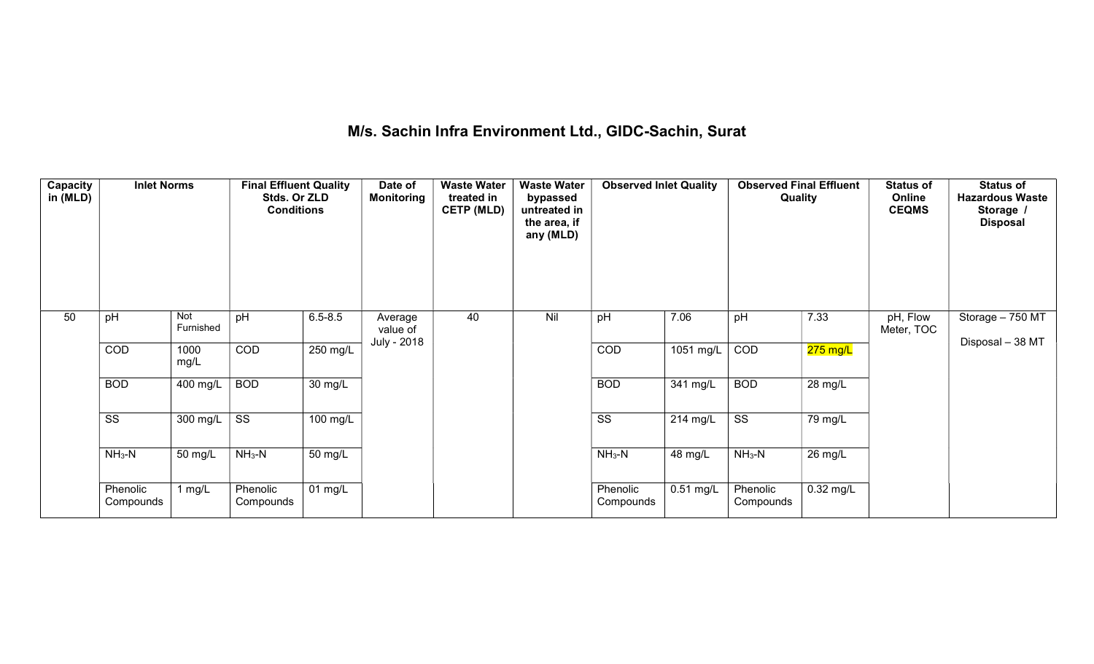## M/s. Sachin Infra Environment Ltd., GIDC-Sachin, Surat

| Capacity<br>in (MLD) | <b>Inlet Norms</b>    |                  | <b>Final Effluent Quality</b><br>Stds. Or ZLD<br><b>Conditions</b> |                      | Date of<br><b>Monitoring</b> | <b>Waste Water</b><br>treated in<br><b>CETP (MLD)</b> | <b>Waste Water</b><br>bypassed<br>untreated in<br>the area, if<br>any (MLD) | <b>Observed Inlet Quality</b> |             | <b>Observed Final Effluent</b><br>Quality |             | <b>Status of</b><br>Online<br><b>CEQMS</b> | <b>Status of</b><br><b>Hazardous Waste</b><br>Storage /<br><b>Disposal</b> |
|----------------------|-----------------------|------------------|--------------------------------------------------------------------|----------------------|------------------------------|-------------------------------------------------------|-----------------------------------------------------------------------------|-------------------------------|-------------|-------------------------------------------|-------------|--------------------------------------------|----------------------------------------------------------------------------|
| 50                   | pH                    | Not<br>Furnished | pH                                                                 | $6.5 - 8.5$          | Average<br>value of          | 40                                                    | Nil                                                                         | pH                            | 7.06        | pH                                        | 7.33        | pH, Flow<br>Meter, TOC                     | Storage - 750 MT                                                           |
|                      | <b>COD</b>            | 1000<br>mg/L     | <b>COD</b>                                                         | $250$ mg/L           | July - 2018                  |                                                       |                                                                             | COD                           | 1051 mg/L   | COD                                       | 275 mg/L    |                                            | Disposal - 38 MT                                                           |
|                      | <b>BOD</b>            | 400 mg/L         | <b>BOD</b>                                                         | 30 mg/L              |                              |                                                       |                                                                             | <b>BOD</b>                    | 341 mg/L    | <b>BOD</b>                                | 28 mg/L     |                                            |                                                                            |
|                      | SS                    | 300 mg/L         | SS                                                                 | 100 mg/L             |                              |                                                       |                                                                             | SS                            | 214 mg/L    | SS                                        | 79 mg/L     |                                            |                                                                            |
|                      | $NH3-N$               | 50 mg/L          | $NH3-N$                                                            | 50 mg/L              |                              |                                                       |                                                                             | $NH3-N$                       | 48 mg/L     | $NH3-N$                                   | 26 mg/L     |                                            |                                                                            |
|                      | Phenolic<br>Compounds | 1 mg/L           | Phenolic<br>Compounds                                              | $\overline{01}$ mg/L |                              |                                                       |                                                                             | Phenolic<br>Compounds         | $0.51$ mg/L | Phenolic<br>Compounds                     | $0.32$ mg/L |                                            |                                                                            |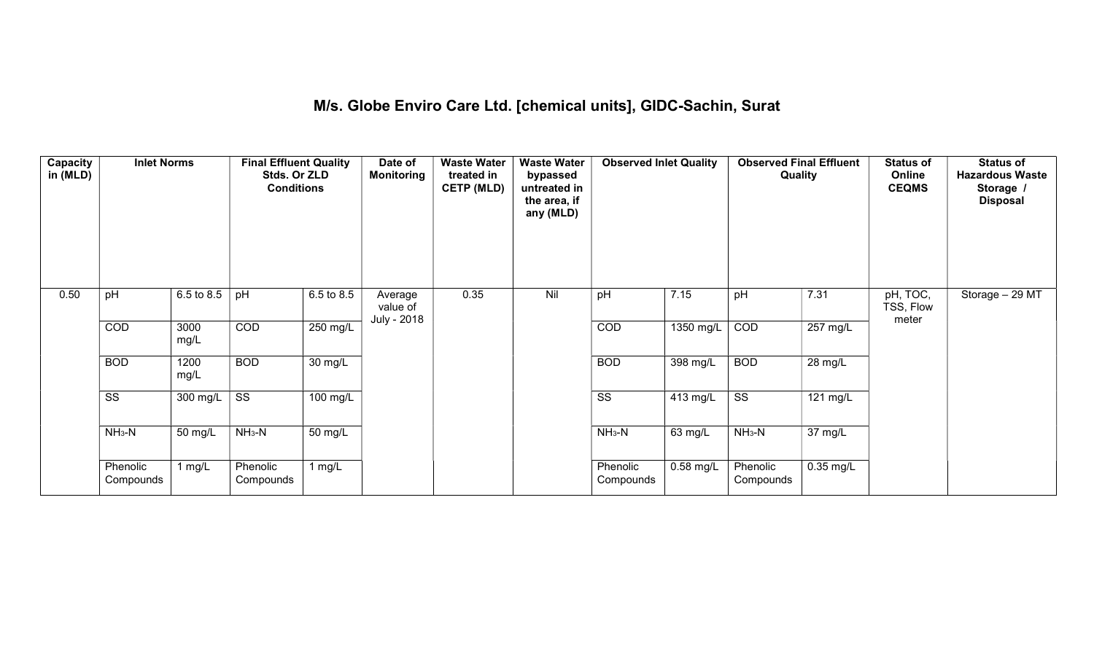#### M/s. Globe Enviro Care Ltd. [chemical units], GIDC-Sachin, Surat

| Capacity<br>in (MLD) | <b>Inlet Norms</b>     |              | <b>Final Effluent Quality</b><br>Stds. Or ZLD<br><b>Conditions</b> |            | Date of<br><b>Monitoring</b>       | <b>Waste Water</b><br>treated in<br><b>CETP (MLD)</b> | <b>Waste Water</b><br>bypassed<br>untreated in<br>the area, if<br>any (MLD) | <b>Observed Inlet Quality</b> |             | <b>Observed Final Effluent</b><br>Quality |                    | <b>Status of</b><br>Online<br><b>CEQMS</b> | <b>Status of</b><br><b>Hazardous Waste</b><br>Storage<br><b>Disposal</b> |
|----------------------|------------------------|--------------|--------------------------------------------------------------------|------------|------------------------------------|-------------------------------------------------------|-----------------------------------------------------------------------------|-------------------------------|-------------|-------------------------------------------|--------------------|--------------------------------------------|--------------------------------------------------------------------------|
| 0.50                 | pH                     | 6.5 to 8.5   | pH                                                                 | 6.5 to 8.5 | Average<br>value of<br>July - 2018 | 0.35                                                  | Nil                                                                         | pH                            | 7.15        | pH                                        | 7.31               | pH, TOC,<br>TSS, Flow<br>meter             | Storage $-29$ MT                                                         |
|                      | COD                    | 3000<br>mg/L | COD                                                                | $250$ mg/L |                                    |                                                       |                                                                             | COD                           | 1350 mg/L   | COD                                       | $257 \text{ mg/L}$ |                                            |                                                                          |
|                      | <b>BOD</b>             | 1200<br>mg/L | <b>BOD</b>                                                         | 30 mg/L    |                                    |                                                       |                                                                             | <b>BOD</b>                    | 398 mg/L    | <b>BOD</b>                                | 28 mg/L            |                                            |                                                                          |
|                      | $\overline{\text{ss}}$ | 300 mg/L     | $\overline{\text{ss}}$                                             | $100$ mg/L |                                    |                                                       |                                                                             | $\overline{\text{ss}}$        | 413 mg/L    | $\overline{\text{ss}}$                    | 121 mg/L           |                                            |                                                                          |
|                      | $NH3-N$                | 50 mg/L      | $NH3-N$                                                            | 50 mg/L    |                                    |                                                       |                                                                             | $NH3-N$                       | 63 mg/L     | $NH3-N$                                   | 37 mg/L            |                                            |                                                                          |
|                      | Phenolic<br>Compounds  | 1 $mg/L$     | Phenolic<br>Compounds                                              | 1 mg/L     |                                    |                                                       |                                                                             | Phenolic<br>Compounds         | $0.58$ mg/L | Phenolic<br>Compounds                     | $0.35$ mg/L        |                                            |                                                                          |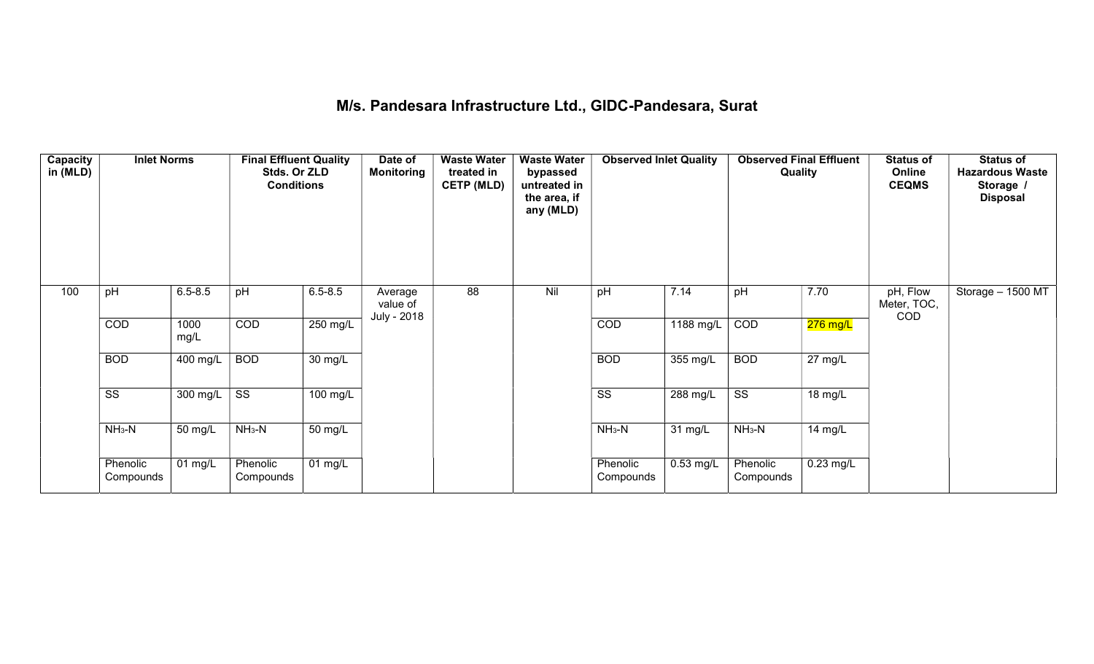## M/s. Pandesara Infrastructure Ltd., GIDC-Pandesara, Surat

| Capacity<br>in (MLD) | <b>Inlet Norms</b>     |                              | <b>Final Effluent Quality</b><br>Stds. Or ZLD<br><b>Conditions</b> |             | Date of<br>Monitoring              | <b>Waste Water</b><br>treated in<br><b>CETP (MLD)</b> | <b>Waste Water</b><br>bypassed<br>untreated in<br>the area, if<br>any (MLD) | <b>Observed Inlet Quality</b> |             | <b>Observed Final Effluent</b><br>Quality |                      | <b>Status of</b><br>Online<br><b>CEQMS</b> | <b>Status of</b><br><b>Hazardous Waste</b><br>Storage /<br><b>Disposal</b> |
|----------------------|------------------------|------------------------------|--------------------------------------------------------------------|-------------|------------------------------------|-------------------------------------------------------|-----------------------------------------------------------------------------|-------------------------------|-------------|-------------------------------------------|----------------------|--------------------------------------------|----------------------------------------------------------------------------|
| 100                  | pH                     | $6.5 - 8.5$                  | pH                                                                 | $6.5 - 8.5$ | Average<br>value of<br>July - 2018 | 88                                                    | Nil                                                                         | pH                            | 7.14        | pH                                        | 7.70                 | pH, Flow<br>Meter, TOC,<br>COD             | Storage - 1500 MT                                                          |
|                      | COD                    | 1000<br>mg/L                 | COD                                                                | 250 mg/L    |                                    |                                                       |                                                                             | COD                           | 1188 mg/L   | COD                                       | $276$ mg/L           |                                            |                                                                            |
|                      | <b>BOD</b>             | 400 mg/L                     | <b>BOD</b>                                                         | 30 mg/L     |                                    |                                                       |                                                                             | <b>BOD</b>                    | 355 mg/L    | <b>BOD</b>                                | $\overline{27}$ mg/L |                                            |                                                                            |
|                      | $\overline{\text{ss}}$ | 300 mg/L                     | $\overline{\text{ss}}$                                             | 100 mg/L    |                                    |                                                       |                                                                             | $\overline{\text{ss}}$        | 288 mg/L    | $\overline{\text{ss}}$                    | 18 mg/L              |                                            |                                                                            |
|                      | $NH3-N$                | 50 mg/L                      | $NH3-N$                                                            | 50 mg/L     |                                    |                                                       |                                                                             | $NH3-N$                       | 31 mg/L     | $NH3-N$                                   | 14 mg/L              |                                            |                                                                            |
|                      | Phenolic<br>Compounds  | $\overline{0}1 \text{ mg/L}$ | Phenolic<br>Compounds                                              | 01 mg/L     |                                    |                                                       |                                                                             | Phenolic<br>Compounds         | $0.53$ mg/L | Phenolic<br>Compounds                     | $0.23$ mg/L          |                                            |                                                                            |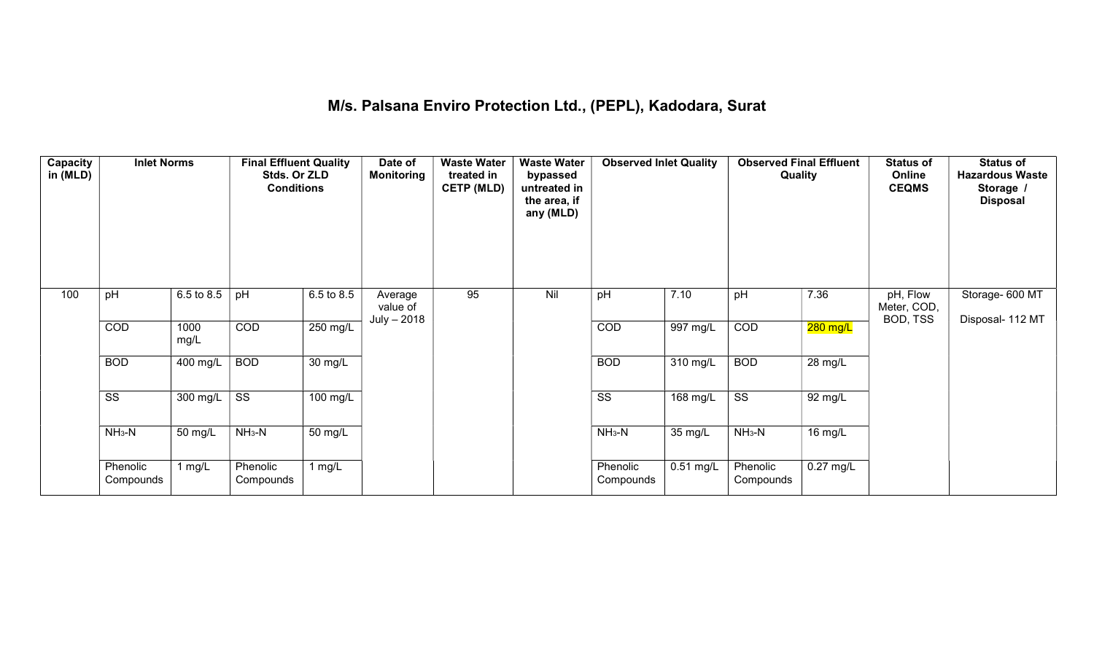#### M/s. Palsana Enviro Protection Ltd., (PEPL), Kadodara, Surat

| Capacity<br>in (MLD) | <b>Inlet Norms</b>     |              | <b>Final Effluent Quality</b><br>Stds. Or ZLD<br><b>Conditions</b> |                      | Date of<br><b>Monitoring</b>       | <b>Waste Water</b><br>treated in<br><b>CETP (MLD)</b> | <b>Waste Water</b><br>bypassed<br>untreated in<br>the area, if<br>any (MLD) | <b>Observed Inlet Quality</b> |                       | <b>Observed Final Effluent</b><br>Quality |             | <b>Status of</b><br>Online<br><b>CEQMS</b> | <b>Status of</b><br><b>Hazardous Waste</b><br>Storage /<br><b>Disposal</b> |
|----------------------|------------------------|--------------|--------------------------------------------------------------------|----------------------|------------------------------------|-------------------------------------------------------|-----------------------------------------------------------------------------|-------------------------------|-----------------------|-------------------------------------------|-------------|--------------------------------------------|----------------------------------------------------------------------------|
| 100                  | pH                     | 6.5 to 8.5   | pH                                                                 | 6.5 to 8.5           | Average<br>value of<br>July - 2018 | 95                                                    | Nil                                                                         | pH                            | 7.10                  | pH                                        | 7.36        | pH, Flow<br>Meter, COD,<br>BOD, TSS        | Storage- 600 MT<br>Disposal- 112 MT                                        |
|                      | COD                    | 1000<br>mg/L | COD                                                                | $250$ mg/L           |                                    |                                                       |                                                                             | COD                           | $\overline{997}$ mg/L | COD                                       | $280$ mg/L  |                                            |                                                                            |
|                      | <b>BOD</b>             | 400 mg/L     | <b>BOD</b>                                                         | $\overline{30}$ mg/L |                                    |                                                       |                                                                             | <b>BOD</b>                    | 310 mg/L              | <b>BOD</b>                                | 28 mg/L     |                                            |                                                                            |
|                      | $\overline{\text{SS}}$ | 300 mg/L     | $\overline{\text{ss}}$                                             | $100$ mg/L           |                                    |                                                       |                                                                             | $\overline{\text{ss}}$        | $168$ mg/L            | $\overline{\text{ss}}$                    | 92 mg/L     |                                            |                                                                            |
|                      | $NH3-N$                | 50 mg/L      | $NH3-N$                                                            | 50 mg/L              |                                    |                                                       |                                                                             | $NH3-N$                       | 35 mg/L               | $NH_3-N$                                  | 16 mg/L     |                                            |                                                                            |
|                      | Phenolic<br>Compounds  | 1 $mg/L$     | Phenolic<br>Compounds                                              | 1 $mg/L$             |                                    |                                                       |                                                                             | Phenolic<br>Compounds         | $0.51$ mg/L           | Phenolic<br>Compounds                     | $0.27$ mg/L |                                            |                                                                            |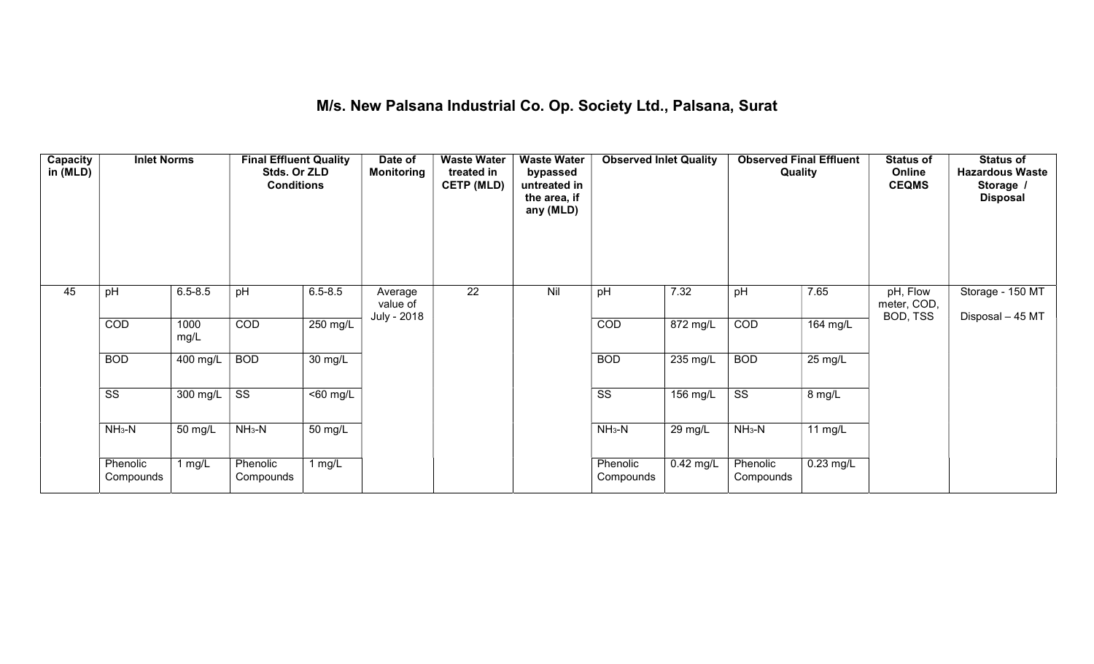## M/s. New Palsana Industrial Co. Op. Society Ltd., Palsana, Surat

| Capacity<br>in (MLD) | <b>Inlet Norms</b>     |                       | <b>Final Effluent Quality</b><br>Stds. Or ZLD<br><b>Conditions</b> |                       | Date of<br><b>Monitoring</b>       | <b>Waste Water</b><br>treated in<br><b>CETP (MLD)</b> | <b>Waste Water</b><br>bypassed<br>untreated in<br>the area, if<br>any (MLD) | <b>Observed Inlet Quality</b> |                    | <b>Observed Final Effluent</b><br><b>Quality</b> |                       | <b>Status of</b><br>Online<br><b>CEQMS</b> | <b>Status of</b><br><b>Hazardous Waste</b><br>Storage /<br><b>Disposal</b> |
|----------------------|------------------------|-----------------------|--------------------------------------------------------------------|-----------------------|------------------------------------|-------------------------------------------------------|-----------------------------------------------------------------------------|-------------------------------|--------------------|--------------------------------------------------|-----------------------|--------------------------------------------|----------------------------------------------------------------------------|
| 45                   | pH                     | $6.5 - 8.5$           | pH                                                                 | $6.5 - 8.5$           | Average<br>value of<br>July - 2018 | $\overline{22}$                                       | Nil                                                                         | pH                            | 7.32               | pH                                               | 7.65                  | pH, Flow<br>meter, COD,<br>BOD, TSS        | Storage - 150 MT<br>Disposal - 45 MT                                       |
|                      | COD                    | 1000<br>mg/L          | COD                                                                | $250$ mg/L            |                                    |                                                       |                                                                             | COD                           | 872 mg/L           | COD                                              | $\overline{164}$ mg/L |                                            |                                                                            |
|                      | <b>BOD</b>             | $\overline{400}$ mg/L | <b>BOD</b>                                                         | $\overline{30}$ mg/L  |                                    |                                                       |                                                                             | <b>BOD</b>                    | 235 mg/L           | <b>BOD</b>                                       | $25 \text{ mg/L}$     |                                            |                                                                            |
|                      | $\overline{\text{ss}}$ | 300 mg/L              | $\overline{\text{ss}}$                                             | $\overline{560}$ mg/L |                                    |                                                       |                                                                             | $\overline{\text{ss}}$        | $156 \text{ mg/L}$ | $\overline{\text{ss}}$                           | 8 mg/L                |                                            |                                                                            |
|                      | $NH3-N$                | 50 mg/L               | $NH_3-N$                                                           | 50 mg/L               |                                    |                                                       |                                                                             | $NH3-N$                       | 29 mg/L            | $NH_3-N$                                         | 11 $mg/L$             |                                            |                                                                            |
|                      | Phenolic<br>Compounds  | 1 mg/ $L$             | Phenolic<br>Compounds                                              | 1 $mg/L$              |                                    |                                                       |                                                                             | Phenolic<br>Compounds         | $0.42$ mg/L        | Phenolic<br>Compounds                            | $0.23$ mg/L           |                                            |                                                                            |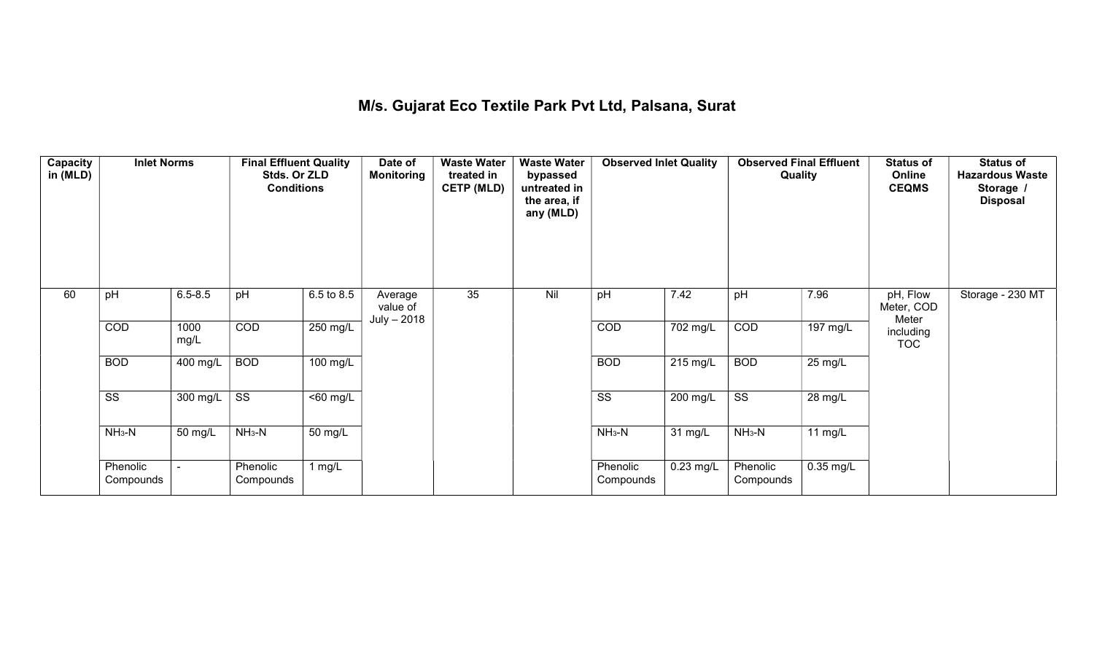#### M/s. Gujarat Eco Textile Park Pvt Ltd, Palsana, Surat

| Capacity<br>in (MLD) | <b>Inlet Norms</b>     |                  | <b>Final Effluent Quality</b><br>Stds. Or ZLD<br><b>Conditions</b> |                      | Date of<br><b>Monitoring</b>       | <b>Waste Water</b><br>treated in<br><b>CETP (MLD)</b> | <b>Waste Water</b><br>bypassed<br>untreated in<br>the area, if<br>any (MLD) | <b>Observed Inlet Quality</b> |             | Quality                | <b>Observed Final Effluent</b> | <b>Status of</b><br>Online<br><b>CEQMS</b> | <b>Status of</b><br><b>Hazardous Waste</b><br>Storage /<br><b>Disposal</b> |
|----------------------|------------------------|------------------|--------------------------------------------------------------------|----------------------|------------------------------------|-------------------------------------------------------|-----------------------------------------------------------------------------|-------------------------------|-------------|------------------------|--------------------------------|--------------------------------------------|----------------------------------------------------------------------------|
| 60                   | pH                     | $6.5 - 8.5$      | pH                                                                 | 6.5 to 8.5           | Average<br>value of<br>July - 2018 | 35                                                    | Nil                                                                         | pH                            | 7.42        | pH                     | 7.96                           | pH, Flow<br>Meter, COD<br>Meter            | Storage - 230 MT                                                           |
|                      | COD                    | 1000<br>mg/L     | COD                                                                | 250 mg/L             |                                    |                                                       |                                                                             | COD                           | 702 mg/L    | COD                    | $\overline{197}$ mg/L          | including<br><b>TOC</b>                    |                                                                            |
|                      | <b>BOD</b>             | 400 mg/L         | <b>BOD</b>                                                         | 100 mg/L             |                                    |                                                       |                                                                             | <b>BOD</b>                    | 215 mg/L    | <b>BOD</b>             | 25 mg/L                        |                                            |                                                                            |
|                      | $\overline{\text{ss}}$ | 300 mg/L $\vert$ | $\overline{\text{ss}}$                                             | $\overline{50}$ mg/L |                                    |                                                       |                                                                             | $\overline{\text{ss}}$        | $200$ mg/L  | $\overline{\text{ss}}$ | 28 mg/L                        |                                            |                                                                            |
|                      | $NH3-N$                | 50 mg/L          | $NH_3-N$                                                           | 50 mg/L              |                                    |                                                       |                                                                             | $NH_3-N$                      | 31 mg/L     | $NH3-N$                | 11 mg/L                        |                                            |                                                                            |
|                      | Phenolic<br>Compounds  |                  | Phenolic<br>Compounds                                              | 1 $mg/L$             |                                    |                                                       |                                                                             | Phenolic<br>Compounds         | $0.23$ mg/L | Phenolic<br>Compounds  | $0.35$ mg/L                    |                                            |                                                                            |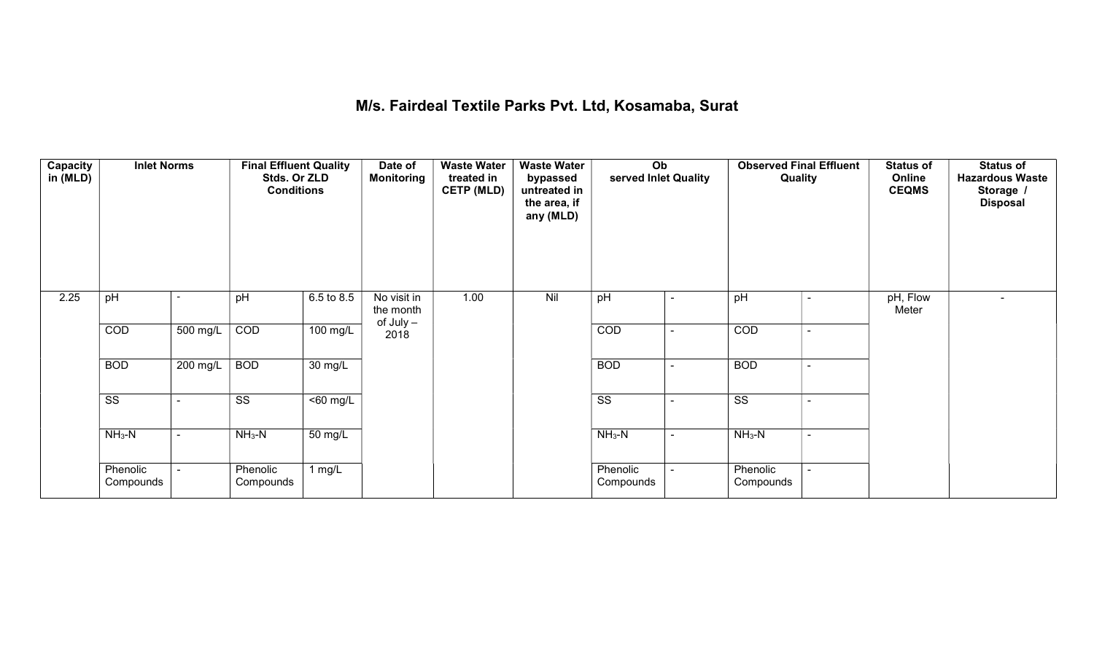## M/s. Fairdeal Textile Parks Pvt. Ltd, Kosamaba, Surat

| Capacity<br>in (MLD) | <b>Inlet Norms</b>     |                | <b>Final Effluent Quality</b><br>Stds. Or ZLD<br><b>Conditions</b> |                       | Date of<br><b>Monitoring</b> | <b>Waste Water</b><br>treated in<br><b>CETP (MLD)</b> | <b>Waste Water</b><br>bypassed<br>untreated in<br>the area, if<br>any (MLD) | Ob<br>served Inlet Quality |                          | <b>Observed Final Effluent</b><br>Quality |                | <b>Status of</b><br>Online<br><b>CEQMS</b> | <b>Status of</b><br><b>Hazardous Waste</b><br>Storage /<br><b>Disposal</b> |
|----------------------|------------------------|----------------|--------------------------------------------------------------------|-----------------------|------------------------------|-------------------------------------------------------|-----------------------------------------------------------------------------|----------------------------|--------------------------|-------------------------------------------|----------------|--------------------------------------------|----------------------------------------------------------------------------|
| 2.25                 | pH                     |                | pH                                                                 | $6.5 \text{ to } 8.5$ | No visit in<br>the month     | 1.00                                                  | Nil                                                                         | pH                         | ۰                        | pH                                        | ۰              | pH, Flow<br>Meter                          |                                                                            |
|                      | COD                    | 500 mg/L       | COD                                                                | 100 mg/L              | $of$ July $-$<br>2018        |                                                       |                                                                             | COD                        | $\blacksquare$           | COD                                       | $\blacksquare$ |                                            |                                                                            |
|                      | <b>BOD</b>             | $200$ mg/L     | <b>BOD</b>                                                         | $\overline{30}$ mg/L  |                              |                                                       |                                                                             | <b>BOD</b>                 | $\overline{\phantom{0}}$ | <b>BOD</b>                                | ٠              |                                            |                                                                            |
|                      | $\overline{\text{ss}}$ |                | $\overline{\text{ss}}$                                             | $50$ mg/L             |                              |                                                       |                                                                             | $\overline{\text{ss}}$     | $\blacksquare$           | $\overline{\text{ss}}$                    | $\blacksquare$ |                                            |                                                                            |
|                      | $NH_3-N$               | $\blacksquare$ | $NH3-N$                                                            | 50 mg/L               |                              |                                                       |                                                                             | $NH3-N$                    | $\sim$                   | $NH3-N$                                   | $\blacksquare$ |                                            |                                                                            |
|                      | Phenolic<br>Compounds  |                | Phenolic<br>Compounds                                              | 1 $mg/L$              |                              |                                                       |                                                                             | Phenolic<br>Compounds      |                          | Phenolic<br>Compounds                     |                |                                            |                                                                            |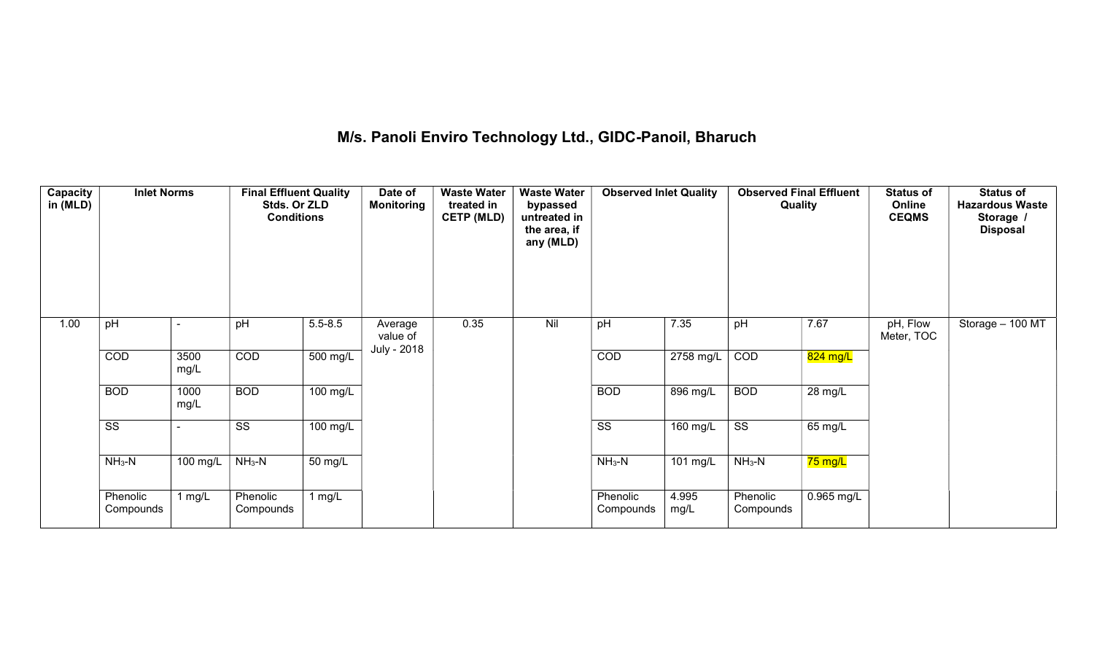## M/s. Panoli Enviro Technology Ltd., GIDC-Panoil, Bharuch

| Capacity<br>in (MLD) | <b>Inlet Norms</b>     |              | <b>Final Effluent Quality</b><br>Stds. Or ZLD<br><b>Conditions</b> |             | Date of<br><b>Monitoring</b> | <b>Waste Water</b><br>treated in<br><b>CETP (MLD)</b> | <b>Waste Water</b><br>bypassed<br>untreated in<br>the area, if<br>any (MLD) | <b>Observed Inlet Quality</b> |               | <b>Observed Final Effluent</b><br>Quality |                   | <b>Status of</b><br>Online<br><b>CEQMS</b> | <b>Status of</b><br><b>Hazardous Waste</b><br>Storage /<br><b>Disposal</b> |
|----------------------|------------------------|--------------|--------------------------------------------------------------------|-------------|------------------------------|-------------------------------------------------------|-----------------------------------------------------------------------------|-------------------------------|---------------|-------------------------------------------|-------------------|--------------------------------------------|----------------------------------------------------------------------------|
| 1.00                 | pH                     |              | pH                                                                 | $5.5 - 8.5$ | Average<br>value of          | 0.35                                                  | Nil                                                                         | pH                            | 7.35          | pH                                        | 7.67              | pH, Flow<br>Meter, TOC                     | Storage - 100 MT                                                           |
|                      | COD                    | 3500<br>mg/L | COD                                                                | 500 mg/L    | July - 2018                  |                                                       |                                                                             | COD                           | 2758 mg/L     | COD                                       | 824 mg/L          |                                            |                                                                            |
|                      | <b>BOD</b>             | 1000<br>mg/L | <b>BOD</b>                                                         | 100 mg/L    |                              |                                                       |                                                                             | <b>BOD</b>                    | 896 mg/L      | <b>BOD</b>                                | 28 mg/L           |                                            |                                                                            |
|                      | $\overline{\text{ss}}$ |              | $\overline{\text{ss}}$                                             | 100 mg/L    |                              |                                                       |                                                                             | $\overline{\text{ss}}$        | $160$ mg/L    | $\overline{\text{ss}}$                    | $65 \text{ mg/L}$ |                                            |                                                                            |
|                      | $NH3-N$                | 100 mg/L     | $NH3-N$                                                            | 50 mg/L     |                              |                                                       |                                                                             | $NH3-N$                       | 101 mg/L      | $NH3-N$                                   | 75 mg/L           |                                            |                                                                            |
|                      | Phenolic<br>Compounds  | 1 $mg/L$     | Phenolic<br>Compounds                                              | 1 $mg/L$    |                              |                                                       |                                                                             | Phenolic<br>Compounds         | 4.995<br>mg/L | Phenolic<br>Compounds                     | 0.965 mg/L        |                                            |                                                                            |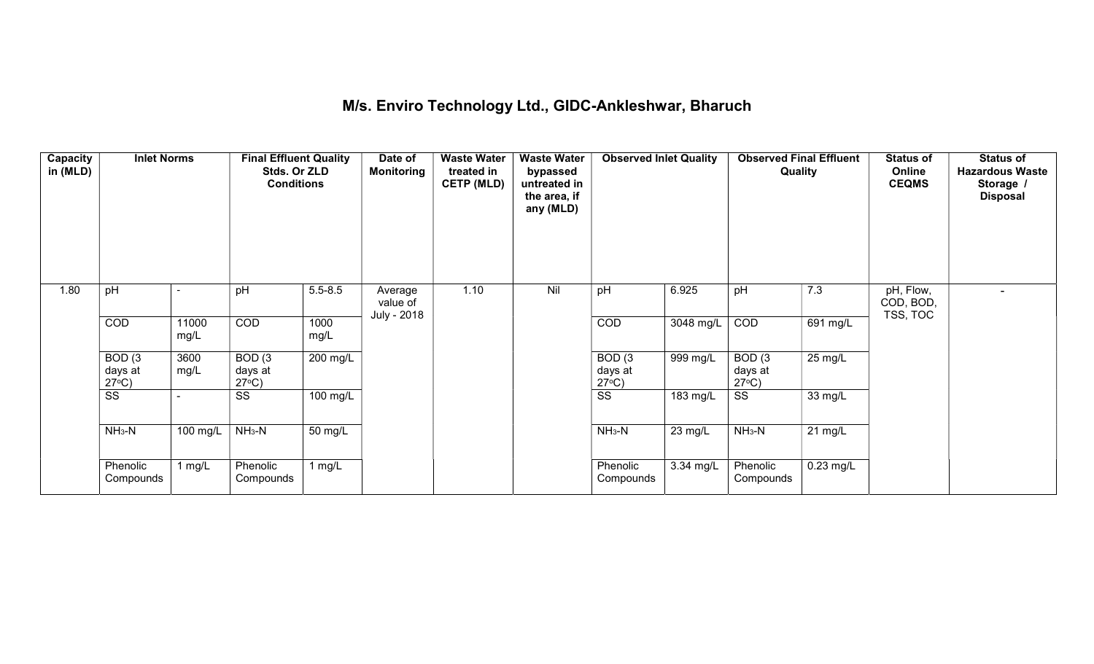## M/s. Enviro Technology Ltd., GIDC-Ankleshwar, Bharuch

| Capacity<br>in (MLD) | <b>Inlet Norms</b>                              |                       | <b>Final Effluent Quality</b><br>Stds. Or ZLD<br><b>Conditions</b> |                      | Date of<br><b>Monitoring</b>       | <b>Waste Water</b><br>treated in<br><b>CETP (MLD)</b> | <b>Waste Water</b><br>bypassed<br>untreated in<br>the area, if<br>any (MLD) | <b>Observed Inlet Quality</b>        |                   | <b>Observed Final Effluent</b><br>Quality |                   | <b>Status of</b><br>Online<br><b>CEQMS</b> | <b>Status of</b><br><b>Hazardous Waste</b><br>Storage /<br><b>Disposal</b> |
|----------------------|-------------------------------------------------|-----------------------|--------------------------------------------------------------------|----------------------|------------------------------------|-------------------------------------------------------|-----------------------------------------------------------------------------|--------------------------------------|-------------------|-------------------------------------------|-------------------|--------------------------------------------|----------------------------------------------------------------------------|
| 1.80                 | pH                                              |                       | pH                                                                 | $5.5 - 8.5$          | Average<br>value of<br>July - 2018 | 1.10                                                  | Nil                                                                         | pH                                   | 6.925             | pH                                        | 7.3               | pH, Flow,<br>COD, BOD,<br>TSS, TOC         |                                                                            |
|                      | COD                                             | 11000<br>mg/L         | COD                                                                | 1000<br>mg/L         |                                    |                                                       |                                                                             | COD                                  | 3048 mg/L         | COD                                       | 691 mg/L          |                                            |                                                                            |
|                      | BOD <sub>(3</sub><br>days at<br>$27^{\circ}C$ ) | 3600<br>mg/L          | BOD(3)<br>days at<br>$27^{\circ}C$ )                               | 200 mg/L             |                                    |                                                       |                                                                             | BOD(3)<br>days at<br>$27^{\circ}C$ ) | 999 mg/L          | BOD(3)<br>days at<br>$27^{\circ}C$ )      | $25 \text{ mg/L}$ |                                            |                                                                            |
|                      | $\overline{\text{ss}}$                          |                       | SS                                                                 | 100 mg/L             |                                    |                                                       |                                                                             | $\overline{\text{ss}}$               | 183 mg/L          | SS                                        | 33 mg/L           |                                            |                                                                            |
|                      | $NH3-N$                                         | $\overline{100}$ mg/L | $NH3-N$                                                            | $\overline{50}$ mg/L |                                    |                                                       |                                                                             | $NH3-N$                              | $23 \text{ mg/L}$ | $NH3-N$                                   | $21 \text{ mg/L}$ |                                            |                                                                            |
|                      | Phenolic<br>Compounds                           | 1 mg/L                | Phenolic<br>Compounds                                              | 1 $mg/L$             |                                    |                                                       |                                                                             | Phenolic<br>Compounds                | 3.34 mg/L         | Phenolic<br>Compounds                     | $0.23$ mg/L       |                                            |                                                                            |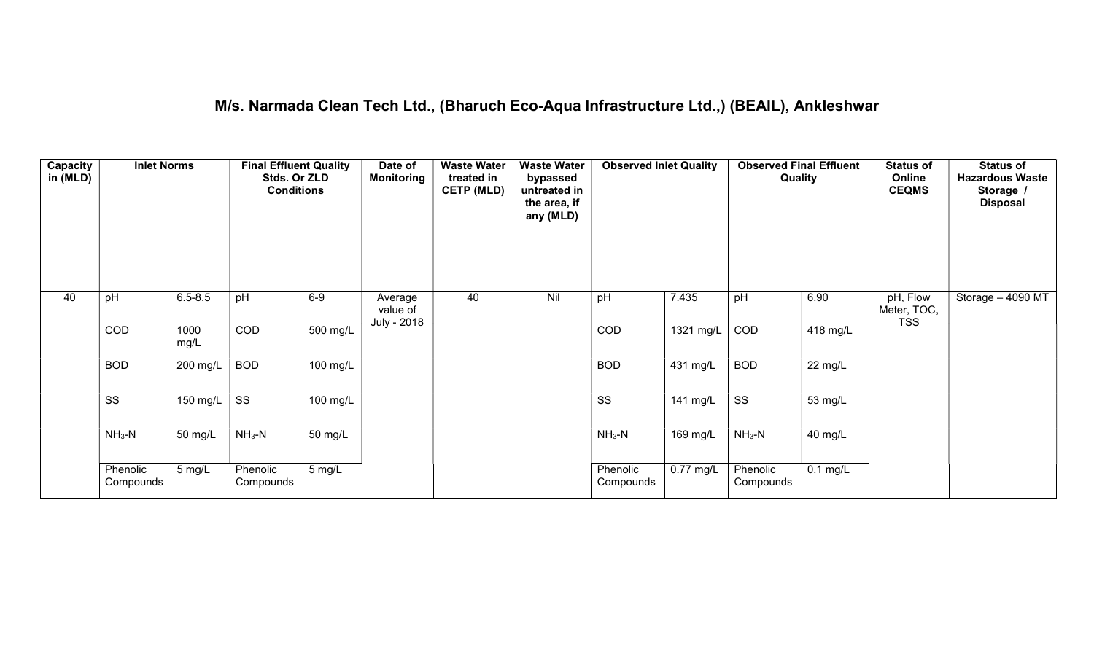#### M/s. Narmada Clean Tech Ltd., (Bharuch Eco-Aqua Infrastructure Ltd.,) (BEAIL), Ankleshwar

| Capacity<br>in (MLD) | <b>Inlet Norms</b>     |              | <b>Final Effluent Quality</b><br>Stds. Or ZLD<br><b>Conditions</b> |                    | Date of<br><b>Monitoring</b>       | <b>Waste Water</b><br>treated in<br><b>CETP (MLD)</b> | <b>Waste Water</b><br>bypassed<br>untreated in<br>the area, if<br>any (MLD) | <b>Observed Inlet Quality</b> |                       | <b>Observed Final Effluent</b><br>Quality |            | <b>Status of</b><br>Online<br><b>CEQMS</b> | <b>Status of</b><br><b>Hazardous Waste</b><br>Storage /<br><b>Disposal</b> |
|----------------------|------------------------|--------------|--------------------------------------------------------------------|--------------------|------------------------------------|-------------------------------------------------------|-----------------------------------------------------------------------------|-------------------------------|-----------------------|-------------------------------------------|------------|--------------------------------------------|----------------------------------------------------------------------------|
| 40                   | pH                     | $6.5 - 8.5$  | pH                                                                 | $6-9$              | Average<br>value of<br>July - 2018 | 40                                                    | Nil                                                                         | pH                            | 7.435                 | pH                                        | 6.90       | pH, Flow<br>Meter, TOC,<br><b>TSS</b>      | Storage - 4090 MT                                                          |
|                      | COD                    | 1000<br>mg/L | COD                                                                | $500$ mg/L         |                                    |                                                       |                                                                             | COD                           | 1321 mg/L             | COD                                       | 418 mg/L   |                                            |                                                                            |
|                      | <b>BOD</b>             | 200 mg/L     | <b>BOD</b>                                                         | 100 mg/L           |                                    |                                                       |                                                                             | <b>BOD</b>                    | 431 mg/L              | <b>BOD</b>                                | 22 mg/L    |                                            |                                                                            |
|                      | $\overline{\text{ss}}$ | 150 mg/L     | $\overline{\text{ss}}$                                             | $100 \text{ mg/L}$ |                                    |                                                       |                                                                             | $\overline{\text{ss}}$        | $\overline{14}1$ mg/L | $\overline{\text{ss}}$                    | 53 mg/L    |                                            |                                                                            |
|                      | $NH3-N$                | 50 mg/L      | $NH_3-N$                                                           | 50 mg/L            |                                    |                                                       |                                                                             | $NH_3-N$                      | 169 mg/L              | $NH_3-N$                                  | 40 mg/L    |                                            |                                                                            |
|                      | Phenolic<br>Compounds  | 5 mg/L       | Phenolic<br>Compounds                                              | $5 \text{ mg/L}$   |                                    |                                                       |                                                                             | Phenolic<br>Compounds         | $0.77$ mg/L           | Phenolic<br>Compounds                     | $0.1$ mg/L |                                            |                                                                            |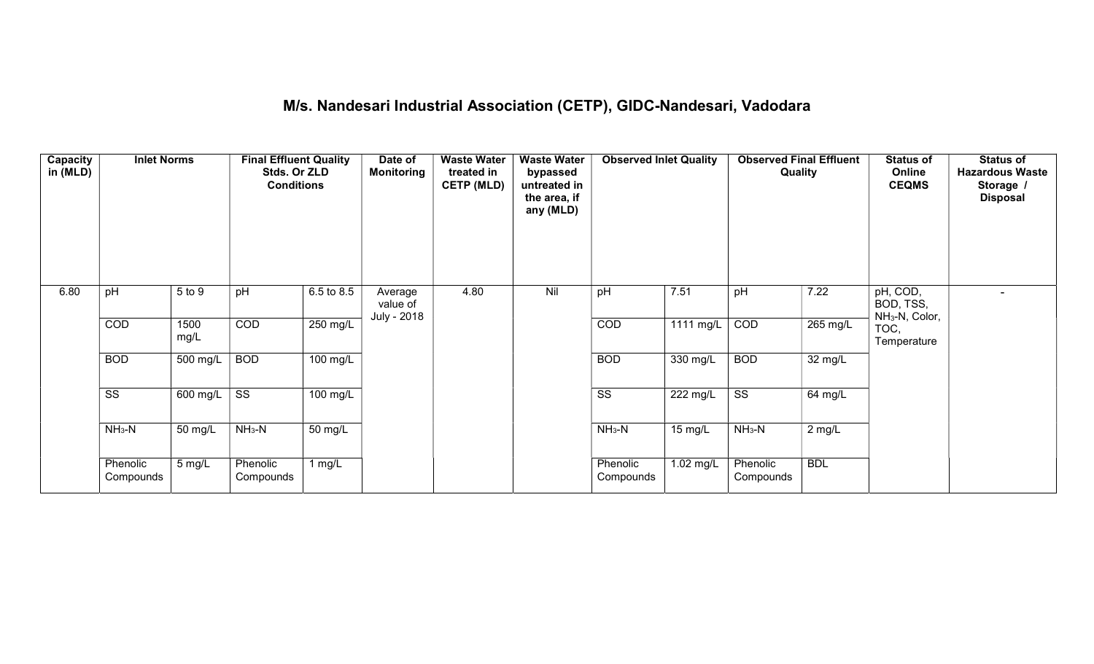## M/s. Nandesari Industrial Association (CETP), GIDC-Nandesari, Vadodara

| Capacity<br>in (MLD) | <b>Inlet Norms</b>     |                  | <b>Final Effluent Quality</b><br>Stds. Or ZLD<br><b>Conditions</b> |                       | Date of<br>Monitoring              | <b>Waste Water</b><br>treated in<br><b>CETP (MLD)</b> | <b>Waste Water</b><br>bypassed<br>untreated in<br>the area, if<br>any (MLD) | <b>Observed Inlet Quality</b> |           | <b>Observed Final Effluent</b><br>Quality |            | <b>Status of</b><br>Online<br><b>CEQMS</b>          | <b>Status of</b><br><b>Hazardous Waste</b><br>Storage /<br><b>Disposal</b> |
|----------------------|------------------------|------------------|--------------------------------------------------------------------|-----------------------|------------------------------------|-------------------------------------------------------|-----------------------------------------------------------------------------|-------------------------------|-----------|-------------------------------------------|------------|-----------------------------------------------------|----------------------------------------------------------------------------|
| 6.80                 | pH                     | 5 to 9           | pH                                                                 | 6.5 to 8.5            | Average<br>value of<br>July - 2018 | 4.80                                                  | Nil                                                                         | pH                            | 7.51      | pH                                        | 7.22       | pH, COD,<br>BOD, TSS,<br>NH <sub>3</sub> -N, Color, |                                                                            |
|                      | COD                    | 1500<br>mg/L     | COD                                                                | 250 mg/L              |                                    |                                                       |                                                                             | COD                           | 1111 mg/L | COD                                       | 265 mg/L   | TOC,<br>Temperature                                 |                                                                            |
|                      | <b>BOD</b>             | 500 mg/L         | <b>BOD</b>                                                         | $\overline{100}$ mg/L |                                    |                                                       |                                                                             | <b>BOD</b>                    | 330 mg/L  | <b>BOD</b>                                | 32 mg/L    |                                                     |                                                                            |
|                      | $\overline{\text{ss}}$ | 600 mg/L         | $\overline{\text{ss}}$                                             | 100 mg/L              |                                    |                                                       |                                                                             | $\overline{\text{ss}}$        | 222 mg/L  | $\overline{\text{ss}}$                    | 64 mg/L    |                                                     |                                                                            |
|                      | $NH3-N$                | 50 mg/L          | $NH3-N$                                                            | 50 mg/L               |                                    |                                                       |                                                                             | $NH3-N$                       | 15 mg/L   | $NH3-N$                                   | $2$ mg/L   |                                                     |                                                                            |
|                      | Phenolic<br>Compounds  | $5 \text{ mg/L}$ | Phenolic<br>Compounds                                              | 1 mg/L                |                                    |                                                       |                                                                             | Phenolic<br>Compounds         | 1.02 mg/L | Phenolic<br>Compounds                     | <b>BDL</b> |                                                     |                                                                            |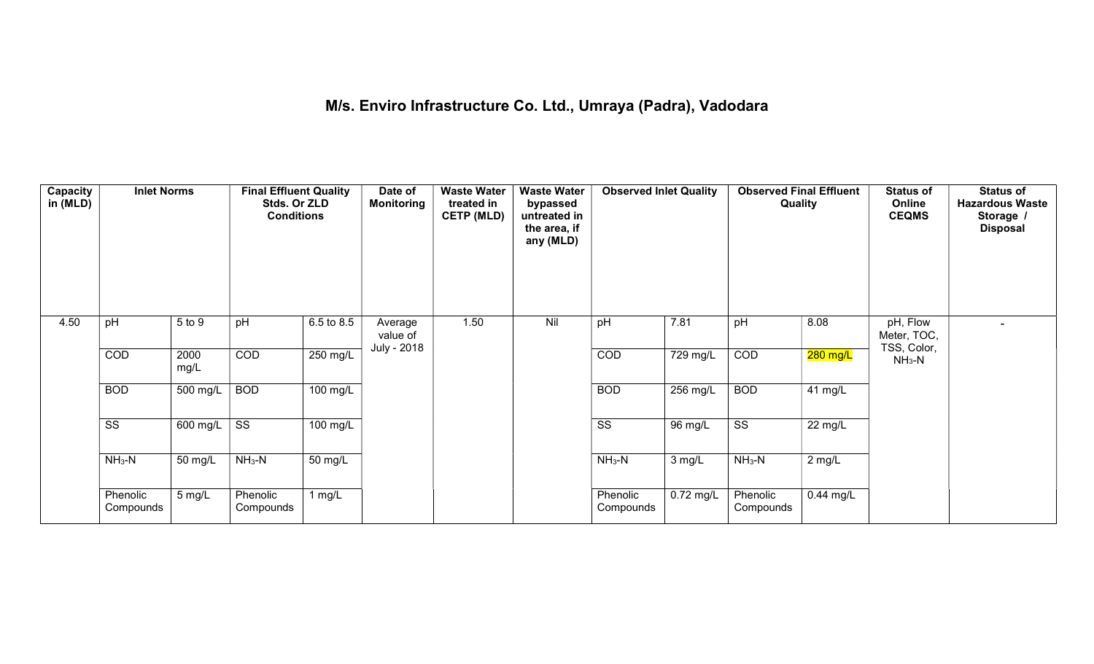## M/s. Enviro Infrastructure Co. Ltd., Umraya (Padra), Vadodara

| Capacity<br>in (MLD) | <b>Inlet Norms</b>     |              | <b>Final Effluent Quality</b><br>Stds. Or ZLD<br><b>Conditions</b> |                    | Date of<br><b>Monitoring</b>       | <b>Waste Water</b><br>treated in<br><b>CETP (MLD)</b> | <b>Waste Water</b><br>bypassed<br>untreated in<br>the area, if<br>any (MLD) | <b>Observed Inlet Quality</b> |             | <b>Observed Final Effluent</b><br>Quality |                      | <b>Status of</b><br>Online<br><b>CEQMS</b> | <b>Status of</b><br><b>Hazardous Waste</b><br>Storage /<br><b>Disposal</b> |
|----------------------|------------------------|--------------|--------------------------------------------------------------------|--------------------|------------------------------------|-------------------------------------------------------|-----------------------------------------------------------------------------|-------------------------------|-------------|-------------------------------------------|----------------------|--------------------------------------------|----------------------------------------------------------------------------|
| 4.50                 | pH                     | 5 to 9       | pH                                                                 | 6.5 to 8.5         | Average<br>value of<br>July - 2018 | 1.50                                                  | Nil                                                                         | pH                            | 7.81        | pH                                        | 8.08                 | pH, Flow<br>Meter, TOC,<br>TSS, Color,     |                                                                            |
|                      | COD                    | 2000<br>mg/L | COD                                                                | 250 mg/L           |                                    |                                                       |                                                                             | COD                           | 729 mg/L    | COD                                       | 280 mg/L             | $NH3-N$                                    |                                                                            |
|                      | <b>BOD</b>             | 500 mg/L     | <b>BOD</b>                                                         | $100 \text{ mg/L}$ |                                    |                                                       |                                                                             | <b>BOD</b>                    | 256 mg/L    | <b>BOD</b>                                | $\overline{4}1$ mg/L |                                            |                                                                            |
|                      | $\overline{\text{ss}}$ | 600 mg/L     | $\overline{\text{ss}}$                                             | 100 mg/L           |                                    |                                                       |                                                                             | $\overline{\text{ss}}$        | 96 mg/L     | $\overline{\text{ss}}$                    | 22 mg/L              |                                            |                                                                            |
|                      | $NH3-N$                | 50 mg/L      | $NH3-N$                                                            | 50 mg/L            |                                    |                                                       |                                                                             | $NH3-N$                       | 3 mg/L      | $NH_3-N$                                  | $2$ mg/L             |                                            |                                                                            |
|                      | Phenolic<br>Compounds  | 5 mg/L       | Phenolic<br>Compounds                                              | 1 $mg/L$           |                                    |                                                       |                                                                             | Phenolic<br>Compounds         | $0.72$ mg/L | Phenolic<br>Compounds                     | $0.44$ mg/L          |                                            |                                                                            |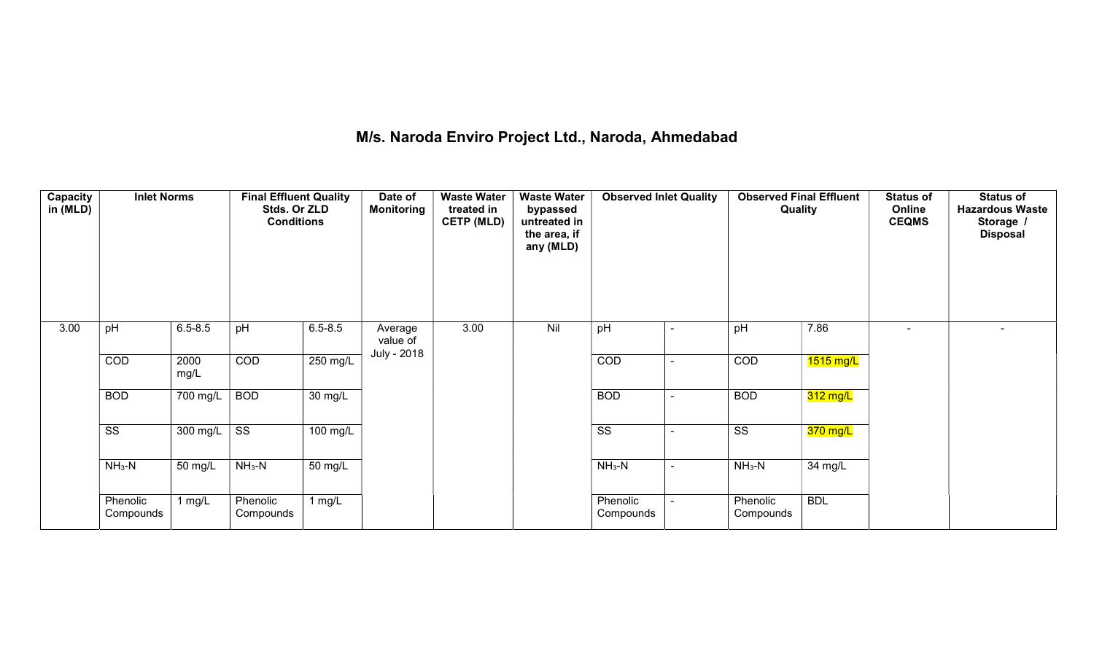## M/s. Naroda Enviro Project Ltd., Naroda, Ahmedabad

| Capacity<br>in (MLD) | <b>Inlet Norms</b>     |              | <b>Final Effluent Quality</b><br>Stds. Or ZLD<br><b>Conditions</b> |                      | Date of<br>Monitoring              | <b>Waste Water</b><br>treated in<br><b>CETP (MLD)</b> | <b>Waste Water</b><br>bypassed<br>untreated in<br>the area, if<br>any (MLD) | <b>Observed Inlet Quality</b> | <b>Observed Final Effluent</b><br>Quality |            | <b>Status of</b><br>Online<br><b>CEQMS</b> | <b>Status of</b><br><b>Hazardous Waste</b><br>Storage /<br><b>Disposal</b> |
|----------------------|------------------------|--------------|--------------------------------------------------------------------|----------------------|------------------------------------|-------------------------------------------------------|-----------------------------------------------------------------------------|-------------------------------|-------------------------------------------|------------|--------------------------------------------|----------------------------------------------------------------------------|
| 3.00                 | pH                     | $6.5 - 8.5$  | pH                                                                 | $6.5 - 8.5$          | Average<br>value of<br>July - 2018 | 3.00                                                  | Nil                                                                         | pH                            | pH                                        | 7.86       | ۰                                          |                                                                            |
|                      | COD                    | 2000<br>mg/L | COD                                                                | $250 \text{ mg/L}$   |                                    |                                                       |                                                                             | COD                           | COD                                       | 1515 mg/L  |                                            |                                                                            |
|                      | <b>BOD</b>             | 700 mg/L     | <b>BOD</b>                                                         | $\overline{30}$ mg/L |                                    |                                                       |                                                                             | <b>BOD</b>                    | <b>BOD</b>                                | 312 mg/L   |                                            |                                                                            |
|                      | $\overline{\text{SS}}$ | 300 mg/L     | $\overline{\text{ss}}$                                             | 100 mg/L             |                                    |                                                       |                                                                             | $\overline{\text{SS}}$        | $\overline{\text{ss}}$                    | 370 mg/L   |                                            |                                                                            |
|                      | $NH3-N$                | 50 mg/L      | $NH_3-N$                                                           | $\overline{50}$ mg/L |                                    |                                                       |                                                                             | $NH3-N$                       | $NH3-N$                                   | 34 mg/L    |                                            |                                                                            |
|                      | Phenolic<br>Compounds  | 1 $mg/L$     | Phenolic<br>Compounds                                              | 1 $mg/L$             |                                    |                                                       |                                                                             | Phenolic<br>Compounds         | Phenolic<br>Compounds                     | <b>BDL</b> |                                            |                                                                            |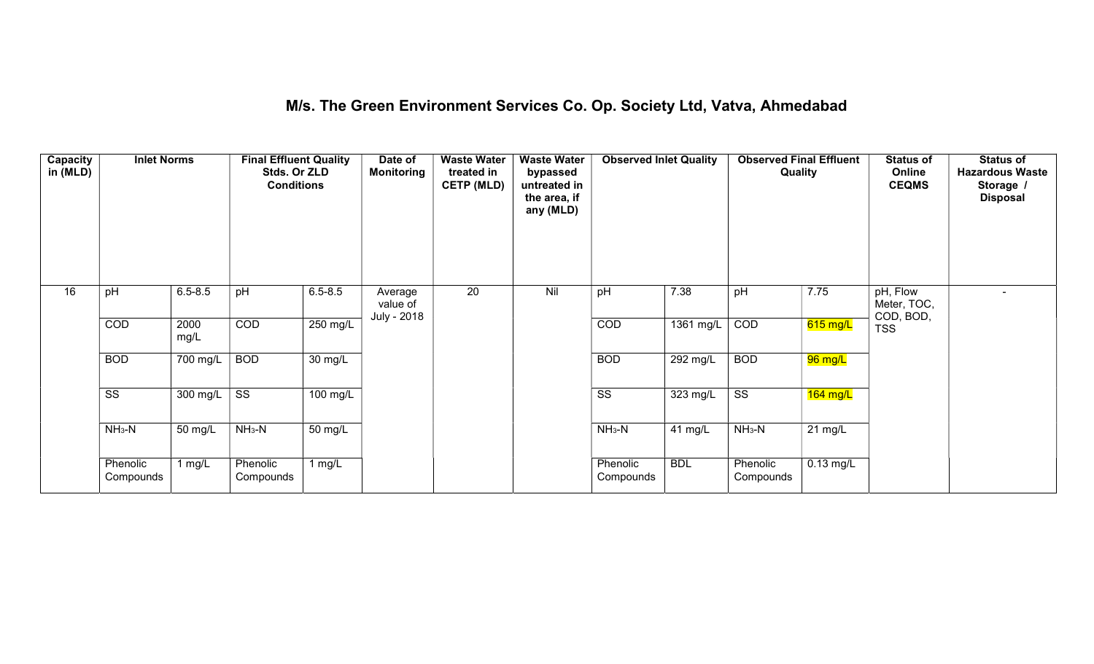#### M/s. The Green Environment Services Co. Op. Society Ltd, Vatva, Ahmedabad

| Capacity<br>in (MLD) | <b>Inlet Norms</b>     |              | <b>Final Effluent Quality</b><br>Stds. Or ZLD<br><b>Conditions</b> |                    | Date of<br><b>Monitoring</b> | <b>Waste Water</b><br>treated in<br><b>CETP (MLD)</b> | <b>Waste Water</b><br>bypassed<br>untreated in<br>the area, if<br>any (MLD) | <b>Observed Inlet Quality</b> |            | Quality                | <b>Observed Final Effluent</b> | <b>Status of</b><br>Online<br><b>CEQMS</b> | <b>Status of</b><br><b>Hazardous Waste</b><br>Storage /<br><b>Disposal</b> |
|----------------------|------------------------|--------------|--------------------------------------------------------------------|--------------------|------------------------------|-------------------------------------------------------|-----------------------------------------------------------------------------|-------------------------------|------------|------------------------|--------------------------------|--------------------------------------------|----------------------------------------------------------------------------|
| 16                   | pH                     | $6.5 - 8.5$  | pH                                                                 | $6.5 - 8.5$        | Average<br>value of          | $\overline{20}$                                       | Nil                                                                         | pH                            | 7.38       | pH                     | 7.75                           | pH, Flow<br>Meter, TOC,<br>COD, BOD,       | $\overline{\phantom{0}}$                                                   |
|                      | COD                    | 2000<br>mg/L | COD                                                                | 250 mg/L           | July - 2018                  |                                                       |                                                                             | COD                           | 1361 mg/L  | COD                    | 615 mg/L                       | <b>TSS</b>                                 |                                                                            |
|                      | <b>BOD</b>             | 700 mg/L     | <b>BOD</b>                                                         | 30 mg/L            |                              |                                                       |                                                                             | <b>BOD</b>                    | 292 mg/L   | <b>BOD</b>             | 96 mg/L                        |                                            |                                                                            |
|                      | $\overline{\text{ss}}$ | 300 mg/L     | $\overline{\text{ss}}$                                             | $100 \text{ mg/L}$ |                              |                                                       |                                                                             | $\overline{\text{ss}}$        | 323 mg/L   | $\overline{\text{ss}}$ | 164 mg/L                       |                                            |                                                                            |
|                      | $NH_3-N$               | 50 mg/L      | $NH3-N$                                                            | 50 mg/L            |                              |                                                       |                                                                             | $NH_3-N$                      | 41 mg/L    | $NH3-N$                | $21 \text{ mg/L}$              |                                            |                                                                            |
|                      | Phenolic<br>Compounds  | 1 mg/ $L$    | Phenolic<br>Compounds                                              | 1 $mg/L$           |                              |                                                       |                                                                             | Phenolic<br>Compounds         | <b>BDL</b> | Phenolic<br>Compounds  | $0.13$ mg/L                    |                                            |                                                                            |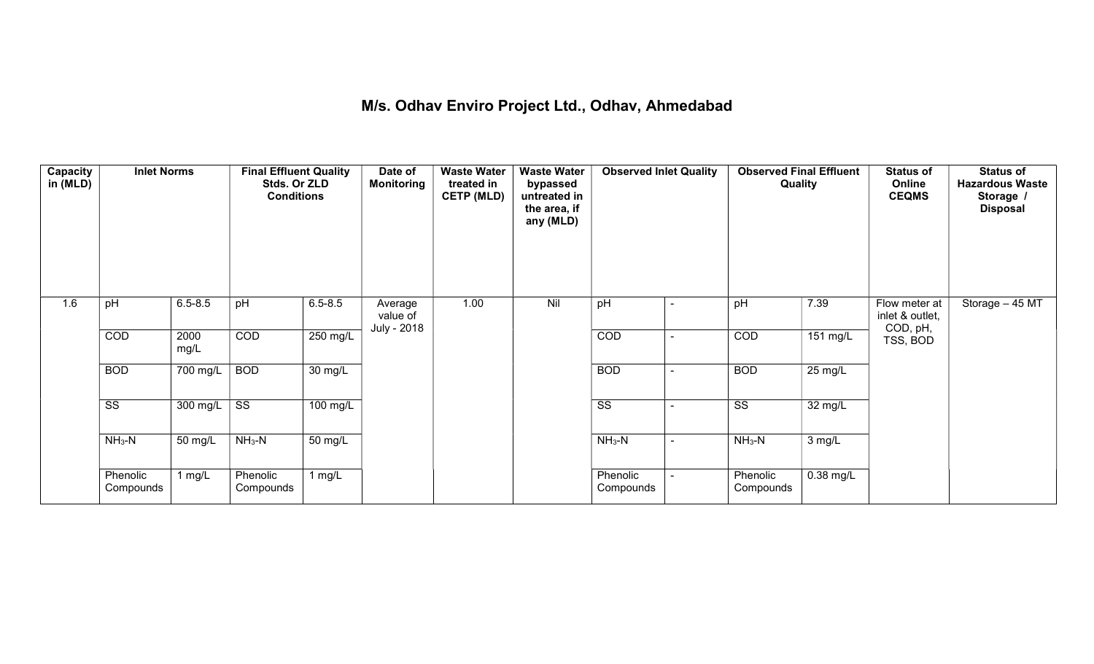## M/s. Odhav Enviro Project Ltd., Odhav, Ahmedabad

| Capacity<br>in (MLD) | <b>Inlet Norms</b>     |                       | <b>Final Effluent Quality</b><br>Stds. Or ZLD<br><b>Conditions</b> |             | Date of<br><b>Monitoring</b> | <b>Waste Water</b><br>treated in<br><b>CETP (MLD)</b> | <b>Waste Water</b><br>bypassed<br>untreated in<br>the area, if<br>any (MLD) | <b>Observed Inlet Quality</b> |                          | <b>Observed Final Effluent</b><br>Quality |                    | <b>Status of</b><br>Online<br><b>CEQMS</b>   | <b>Status of</b><br><b>Hazardous Waste</b><br>Storage /<br><b>Disposal</b> |
|----------------------|------------------------|-----------------------|--------------------------------------------------------------------|-------------|------------------------------|-------------------------------------------------------|-----------------------------------------------------------------------------|-------------------------------|--------------------------|-------------------------------------------|--------------------|----------------------------------------------|----------------------------------------------------------------------------|
| 1.6                  | pH                     | $6.5 - 8.5$           | pH                                                                 | $6.5 - 8.5$ | Average<br>value of          | 1.00                                                  | Nil                                                                         | pH                            |                          | pH                                        | 7.39               | Flow meter at<br>inlet & outlet,<br>COD, pH, | Storage - 45 MT                                                            |
|                      | COD                    | 2000<br>mg/L          | COD                                                                | 250 mg/L    | July - 2018                  |                                                       |                                                                             | COD                           | ٠                        | COD                                       | $151 \text{ mg/L}$ | TSS, BOD                                     |                                                                            |
|                      | <b>BOD</b>             | $\overline{700}$ mg/L | <b>BOD</b>                                                         | 30 mg/L     |                              |                                                       |                                                                             | <b>BOD</b>                    |                          | <b>BOD</b>                                | $25 \text{ mg/L}$  |                                              |                                                                            |
|                      | $\overline{\text{ss}}$ | 300 mg/L              | $\overline{\text{ss}}$                                             | 100 mg/L    |                              |                                                       |                                                                             | $\overline{\text{ss}}$        | $\blacksquare$           | $\overline{\text{ss}}$                    | 32 mg/L            |                                              |                                                                            |
|                      | $NH3-N$                | 50 mg/L               | $NH3-N$                                                            | 50 mg/L     |                              |                                                       |                                                                             | $NH3-N$                       | $\overline{\phantom{a}}$ | $NH3-N$                                   | 3 mg/L             |                                              |                                                                            |
|                      | Phenolic<br>Compounds  | 1 mg/L                | Phenolic<br>Compounds                                              | 1 $mg/L$    |                              |                                                       |                                                                             | Phenolic<br>Compounds         |                          | Phenolic<br>Compounds                     | 0.38 mg/L          |                                              |                                                                            |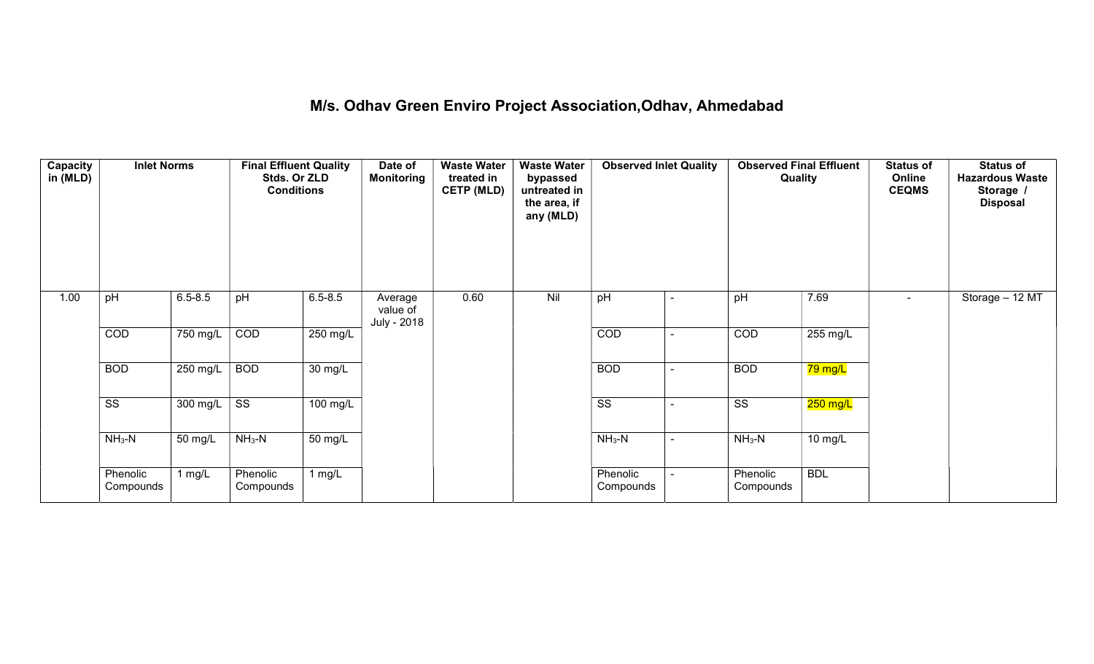## M/s. Odhav Green Enviro Project Association,Odhav, Ahmedabad

| Capacity<br>in (MLD) | <b>Inlet Norms</b>     |                  | <b>Final Effluent Quality</b><br>Stds. Or ZLD<br><b>Conditions</b> |             | Date of<br><b>Monitoring</b>       | <b>Waste Water</b><br>treated in<br><b>CETP (MLD)</b> | <b>Waste Water</b><br>bypassed<br>untreated in<br>the area, if<br>any (MLD) | <b>Observed Inlet Quality</b> |                          | <b>Observed Final Effluent</b><br>Quality |                   | <b>Status of</b><br>Online<br><b>CEQMS</b> | <b>Status of</b><br><b>Hazardous Waste</b><br>Storage /<br><b>Disposal</b> |
|----------------------|------------------------|------------------|--------------------------------------------------------------------|-------------|------------------------------------|-------------------------------------------------------|-----------------------------------------------------------------------------|-------------------------------|--------------------------|-------------------------------------------|-------------------|--------------------------------------------|----------------------------------------------------------------------------|
| 1.00                 | pH                     | $6.5 - 8.5$      | pH                                                                 | $6.5 - 8.5$ | Average<br>value of<br>July - 2018 | 0.60                                                  | Nil                                                                         | pH                            | ۰                        | pH                                        | 7.69              | $\blacksquare$                             | Storage - 12 MT                                                            |
|                      | COD                    | 750 mg/L         | COD                                                                | 250 mg/L    |                                    |                                                       |                                                                             | COD                           | $\blacksquare$           | COD                                       | 255 mg/L          |                                            |                                                                            |
|                      | <b>BOD</b>             | 250 mg/L         | <b>BOD</b>                                                         | 30 mg/L     |                                    |                                                       |                                                                             | <b>BOD</b>                    | $\overline{\phantom{a}}$ | <b>BOD</b>                                | 79 mg/L           |                                            |                                                                            |
|                      | $\overline{\text{ss}}$ | 300 mg/L $\vert$ | $\overline{\text{ss}}$                                             | 100 mg/L    |                                    |                                                       |                                                                             | $\overline{\text{ss}}$        | $\sim$                   | $\overline{\text{ss}}$                    | $250$ mg/L        |                                            |                                                                            |
|                      | $NH3-N$                | 50 mg/L          | $NH3-N$                                                            | 50 mg/L     |                                    |                                                       |                                                                             | $NH3-N$                       | $\sim$                   | $NH3-N$                                   | $10 \text{ mg/L}$ |                                            |                                                                            |
|                      | Phenolic<br>Compounds  | 1 $mg/L$         | Phenolic<br>Compounds                                              | 1 $mg/L$    |                                    |                                                       |                                                                             | Phenolic<br>Compounds         |                          | Phenolic<br>Compounds                     | <b>BDL</b>        |                                            |                                                                            |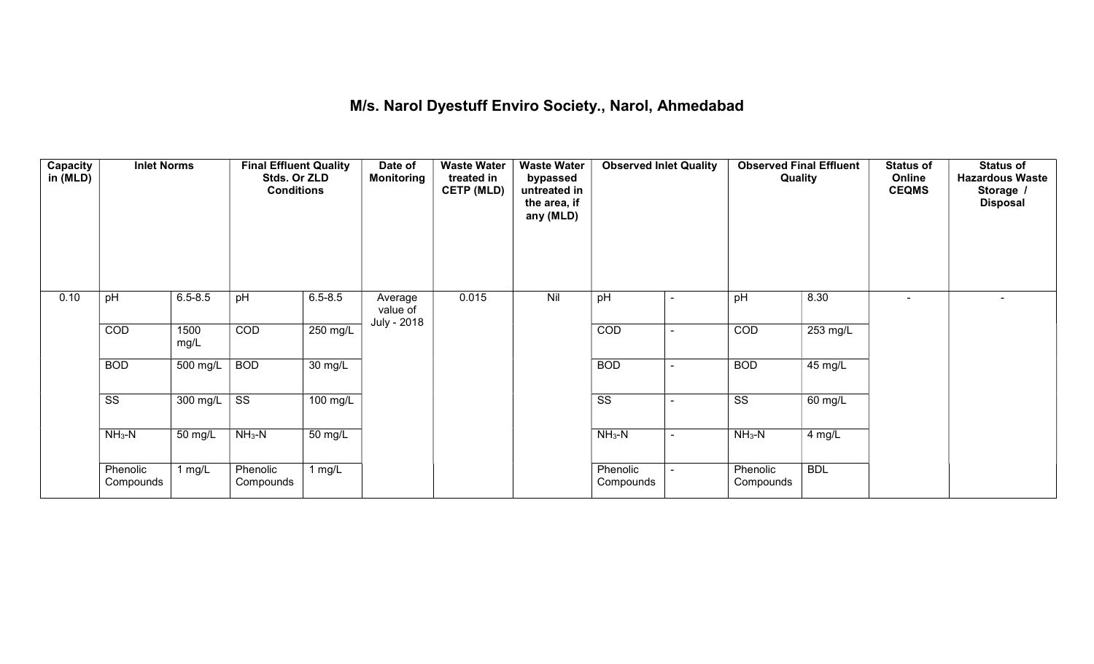## M/s. Narol Dyestuff Enviro Society., Narol, Ahmedabad

| Capacity<br>in (MLD) | <b>Inlet Norms</b>     |              | <b>Final Effluent Quality</b><br>Stds. Or ZLD<br><b>Conditions</b> |                      | Date of<br><b>Monitoring</b>       | <b>Waste Water</b><br>treated in<br><b>CETP (MLD)</b> | <b>Waste Water</b><br>bypassed<br>untreated in<br>the area, if<br>any (MLD) | <b>Observed Inlet Quality</b> |        | <b>Observed Final Effluent</b><br>Quality |            | <b>Status of</b><br>Online<br><b>CEQMS</b> | <b>Status of</b><br><b>Hazardous Waste</b><br>Storage /<br><b>Disposal</b> |
|----------------------|------------------------|--------------|--------------------------------------------------------------------|----------------------|------------------------------------|-------------------------------------------------------|-----------------------------------------------------------------------------|-------------------------------|--------|-------------------------------------------|------------|--------------------------------------------|----------------------------------------------------------------------------|
| 0.10                 | pH                     | $6.5 - 8.5$  | pH                                                                 | $6.5 - 8.5$          | Average<br>value of<br>July - 2018 | 0.015                                                 | Nil                                                                         | pH                            |        | pH                                        | 8.30       | $\overline{\phantom{0}}$                   | $\overline{\phantom{0}}$                                                   |
|                      | COD                    | 1500<br>mg/L | COD                                                                | 250 mg/L             |                                    |                                                       |                                                                             | COD                           | $\sim$ | COD                                       | 253 mg/L   |                                            |                                                                            |
|                      | <b>BOD</b>             | 500 mg/L     | <b>BOD</b>                                                         | $\overline{30}$ mg/L |                                    |                                                       |                                                                             | <b>BOD</b>                    | ۰      | <b>BOD</b>                                | 45 mg/L    |                                            |                                                                            |
|                      | $\overline{\text{SS}}$ | 300 mg/L     | $\overline{\text{ss}}$                                             | $100$ mg/L           |                                    |                                                       |                                                                             | $\overline{\text{ss}}$        | ۰      | $\overline{\text{ss}}$                    | 60 mg/L    |                                            |                                                                            |
|                      | $NH3-N$                | 50 mg/L      | $NH3-N$                                                            | 50 mg/L              |                                    |                                                       |                                                                             | $NH3-N$                       | $\sim$ | $NH3-N$                                   | 4 mg/L     |                                            |                                                                            |
|                      | Phenolic<br>Compounds  | 1 $mg/L$     | Phenolic<br>Compounds                                              | 1 $mg/L$             |                                    |                                                       |                                                                             | Phenolic<br>Compounds         |        | Phenolic<br>Compounds                     | <b>BDL</b> |                                            |                                                                            |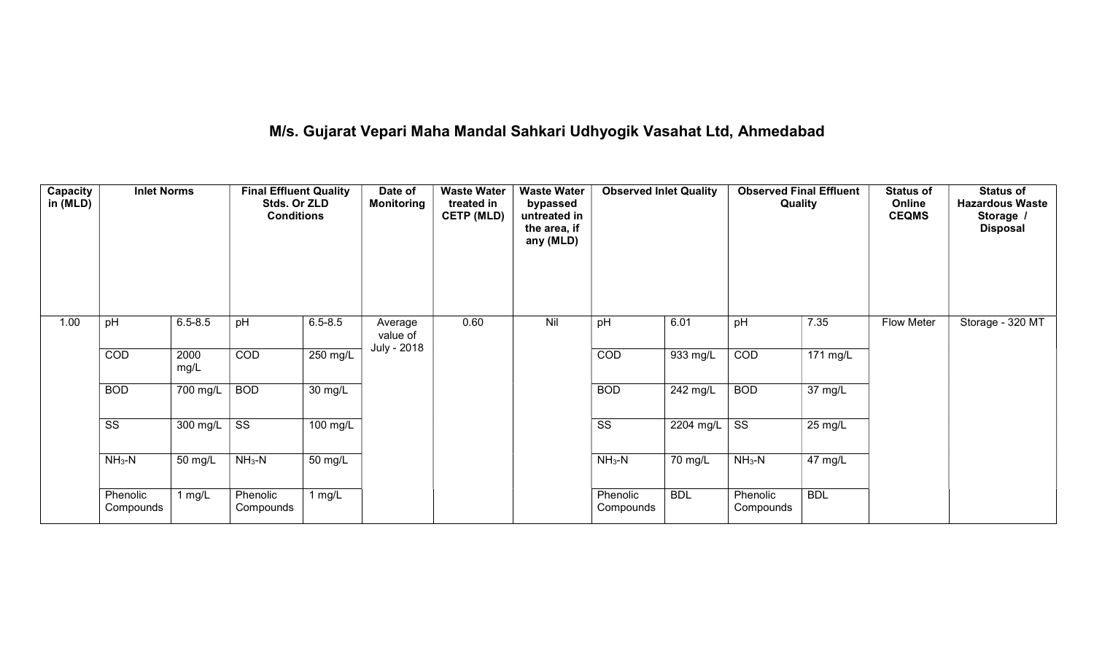# M/s. Gujarat Vepari Maha Mandal Sahkari Udhyogik Vasahat Ltd, Ahmedabad

| Capacity<br>in (MLD) | <b>Inlet Norms</b>     |              | <b>Final Effluent Quality</b><br>Stds. Or ZLD<br><b>Conditions</b> |                    | Date of<br><b>Monitoring</b> | <b>Waste Water</b><br>treated in<br><b>CETP (MLD)</b> | <b>Waste Water</b><br>bypassed<br>untreated in<br>the area, if<br>any (MLD) | <b>Observed Inlet Quality</b> |            |                        | <b>Observed Final Effluent</b><br><b>Quality</b> | <b>Status of</b><br>Online<br><b>CEQMS</b> | <b>Status of</b><br><b>Hazardous Waste</b><br>Storage<br><b>Disposal</b> |
|----------------------|------------------------|--------------|--------------------------------------------------------------------|--------------------|------------------------------|-------------------------------------------------------|-----------------------------------------------------------------------------|-------------------------------|------------|------------------------|--------------------------------------------------|--------------------------------------------|--------------------------------------------------------------------------|
| 1.00                 | pH                     | $6.5 - 8.5$  | pH                                                                 | $6.5 - 8.5$        | Average<br>value of          | 0.60                                                  | Nil                                                                         | pH                            | 6.01       | pH                     | 7.35                                             | <b>Flow Meter</b>                          | Storage - 320 MT                                                         |
|                      | COD                    | 2000<br>mg/L | COD                                                                | $250 \text{ mg/L}$ | July - 2018                  |                                                       |                                                                             | COD                           | 933 mg/L   | COD                    | $171 \text{ mg/L}$                               |                                            |                                                                          |
|                      | <b>BOD</b>             | 700 mg/L     | <b>BOD</b>                                                         | 30 mg/L            |                              |                                                       |                                                                             | <b>BOD</b>                    | 242 mg/L   | <b>BOD</b>             | 37 mg/L                                          |                                            |                                                                          |
|                      | $\overline{\text{ss}}$ | 300 mg/L     | SS                                                                 | 100 mg/L           |                              |                                                       |                                                                             | $\overline{\text{ss}}$        | 2204 mg/L  | $\overline{\text{ss}}$ | 25 mg/L                                          |                                            |                                                                          |
|                      | $NH3-N$                | 50 mg/L      | $NH3-N$                                                            | 50 mg/L            |                              |                                                       |                                                                             | $NH3-N$                       | 70 mg/L    | $NH3-N$                | 47 mg/L                                          |                                            |                                                                          |
|                      | Phenolic<br>Compounds  | 1 $mg/L$     | Phenolic<br>Compounds                                              | 1 $mg/L$           |                              |                                                       |                                                                             | Phenolic<br>Compounds         | <b>BDL</b> | Phenolic<br>Compounds  | <b>BDL</b>                                       |                                            |                                                                          |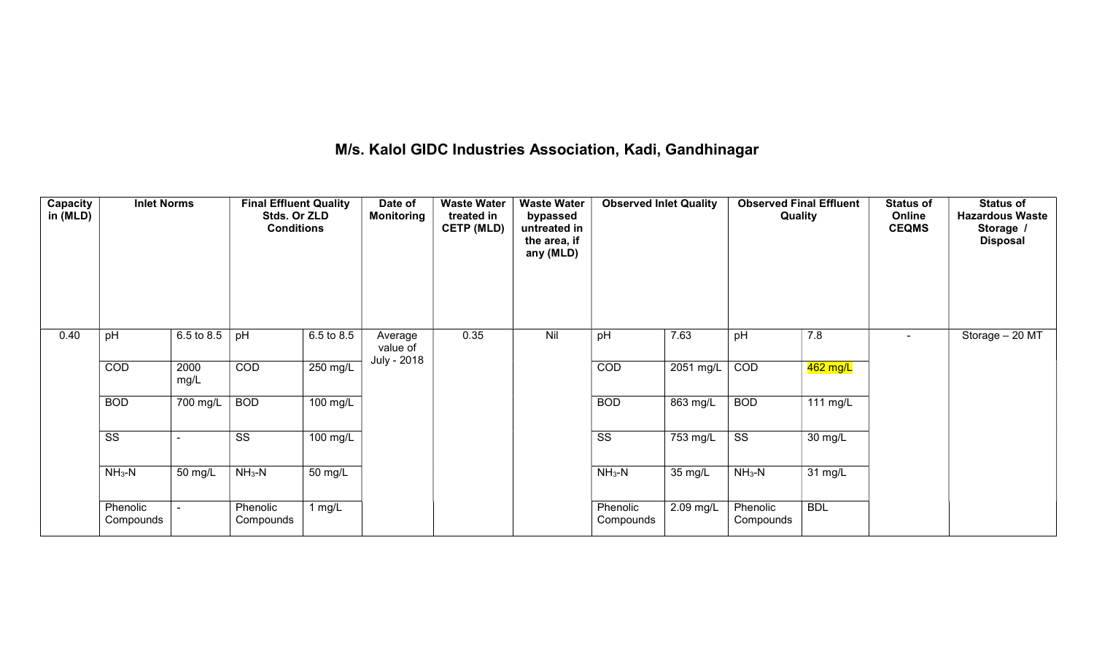## M/s. Kalol GIDC Industries Association, Kadi, Gandhinagar

| Capacity<br>in (MLD) | <b>Inlet Norms</b>     |              | <b>Final Effluent Quality</b><br>Stds. Or ZLD<br><b>Conditions</b> |                       | Date of<br><b>Monitoring</b> | <b>Waste Water</b><br>treated in<br><b>CETP (MLD)</b> | <b>Waste Water</b><br>bypassed<br>untreated in<br>the area, if<br>any (MLD) | <b>Observed Inlet Quality</b> |                       | Quality                | <b>Observed Final Effluent</b> | <b>Status of</b><br>Online<br><b>CEQMS</b> | <b>Status of</b><br><b>Hazardous Waste</b><br>Storage /<br><b>Disposal</b> |
|----------------------|------------------------|--------------|--------------------------------------------------------------------|-----------------------|------------------------------|-------------------------------------------------------|-----------------------------------------------------------------------------|-------------------------------|-----------------------|------------------------|--------------------------------|--------------------------------------------|----------------------------------------------------------------------------|
| 0.40                 | pH                     | 6.5 to 8.5   | pH                                                                 | 6.5 to 8.5            | Average<br>value of          | 0.35                                                  | Nil                                                                         | pH                            | 7.63                  | pH                     | 7.8                            |                                            | Storage - 20 MT                                                            |
|                      | COD                    | 2000<br>mg/L | COD                                                                | $250$ mg/L            | July - 2018                  |                                                       |                                                                             | COD                           | 2051 mg/L             | COD                    | 462 mg/L                       |                                            |                                                                            |
|                      | <b>BOD</b>             | 700 mg/L     | <b>BOD</b>                                                         | 100 mg/L              |                              |                                                       |                                                                             | <b>BOD</b>                    | 863 mg/L              | <b>BOD</b>             | 111 mg/L                       |                                            |                                                                            |
|                      | $\overline{\text{SS}}$ |              | $\overline{\text{ss}}$                                             | $\overline{100}$ mg/L |                              |                                                       |                                                                             | $\overline{\text{ss}}$        | $\overline{753}$ mg/L | $\overline{\text{SS}}$ | 30 mg/L                        |                                            |                                                                            |
|                      | $NH3-N$                | 50 mg/L      | $NH3-N$                                                            | 50 mg/L               |                              |                                                       |                                                                             | $NH3-N$                       | 35 mg/L               | $NH3-N$                | 31 mg/L                        |                                            |                                                                            |
|                      | Phenolic<br>Compounds  |              | Phenolic<br>Compounds                                              | 1 $mg/L$              |                              |                                                       |                                                                             | Phenolic<br>Compounds         | 2.09 mg/L             | Phenolic<br>Compounds  | <b>BDL</b>                     |                                            |                                                                            |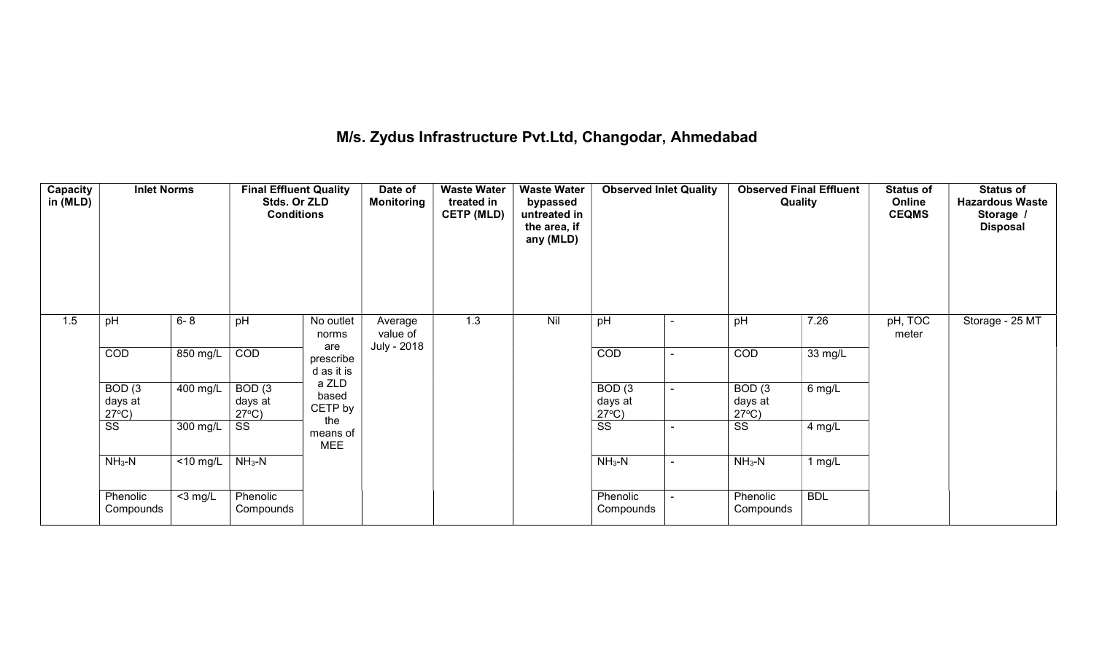## M/s. Zydus Infrastructure Pvt.Ltd, Changodar, Ahmedabad

| <b>Capacity</b><br>in (MLD) | <b>Inlet Norms</b>                   |             | <b>Final Effluent Quality</b><br>Stds. Or ZLD<br><b>Conditions</b> |                                | Date of<br><b>Monitoring</b> | <b>Waste Water</b><br>treated in<br><b>CETP (MLD)</b> | <b>Waste Water</b><br>bypassed<br>untreated in<br>the area, if<br>any (MLD) | <b>Observed Inlet Quality</b>        | <b>Observed Final Effluent</b><br>Quality |            | <b>Status of</b><br>Online<br><b>CEQMS</b> | <b>Status of</b><br><b>Hazardous Waste</b><br>Storage /<br><b>Disposal</b> |
|-----------------------------|--------------------------------------|-------------|--------------------------------------------------------------------|--------------------------------|------------------------------|-------------------------------------------------------|-----------------------------------------------------------------------------|--------------------------------------|-------------------------------------------|------------|--------------------------------------------|----------------------------------------------------------------------------|
| 1.5                         | pH                                   | $6 - 8$     | pH                                                                 | No outlet<br>norms             | Average<br>value of          | 1.3                                                   | Nil                                                                         | pH                                   | pH                                        | 7.26       | $pH, \overline{TOC}$<br>meter              | Storage - 25 MT                                                            |
|                             | COD                                  | 850 mg/L    | COD                                                                | are<br>prescribe<br>d as it is | July - 2018                  |                                                       |                                                                             | COD                                  | COD                                       | 33 mg/L    |                                            |                                                                            |
|                             | BOD(3)<br>days at<br>$27^{\circ}C$ ) | $400$ mg/L  | BOD(3)<br>days at<br>$27^{\circ}C$ )                               | a ZLD<br>based<br>CETP by      |                              |                                                       |                                                                             | BOD(3)<br>days at<br>$27^{\circ}C$ ) | BOD(3)<br>days at<br>$27^{\circ}C$ )      | $6$ mg/L   |                                            |                                                                            |
|                             | SS                                   | 300 mg/L    | SS                                                                 | the<br>means of<br><b>MEE</b>  |                              |                                                       |                                                                             | SS                                   | SS                                        | $4$ mg/L   |                                            |                                                                            |
|                             | $NH3-N$                              | $<$ 10 mg/L | $NH3-N$                                                            |                                |                              |                                                       |                                                                             | $NH3-N$                              | $NH3-N$                                   | 1 $mg/L$   |                                            |                                                                            |
|                             | Phenolic<br>Compounds                | $<$ 3 mg/L  | Phenolic<br>Compounds                                              |                                |                              |                                                       |                                                                             | Phenolic<br>Compounds                | Phenolic<br>Compounds                     | <b>BDL</b> |                                            |                                                                            |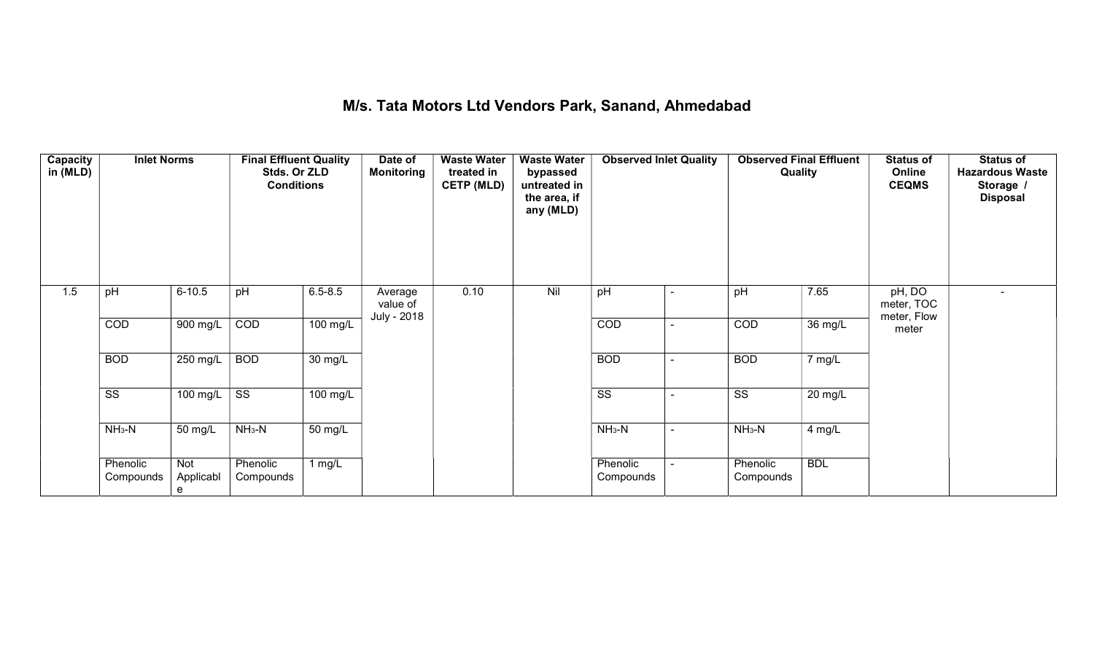#### M/s. Tata Motors Ltd Vendors Park, Sanand, Ahmedabad

| Capacity<br>in (MLD) | <b>Inlet Norms</b>     |                       | <b>Final Effluent Quality</b><br>Stds. Or ZLD<br><b>Conditions</b> |                   | Date of<br>Monitoring | <b>Waste Water</b><br>treated in<br><b>CETP (MLD)</b> | <b>Waste Water</b><br>bypassed<br>untreated in<br>the area, if<br>any (MLD) | <b>Observed Inlet Quality</b> |                          | Quality                | <b>Observed Final Effluent</b> | <b>Status of</b><br>Online<br><b>CEQMS</b> | <b>Status of</b><br><b>Hazardous Waste</b><br>Storage /<br><b>Disposal</b> |
|----------------------|------------------------|-----------------------|--------------------------------------------------------------------|-------------------|-----------------------|-------------------------------------------------------|-----------------------------------------------------------------------------|-------------------------------|--------------------------|------------------------|--------------------------------|--------------------------------------------|----------------------------------------------------------------------------|
| 1.5                  | pH                     | $6 - 10.5$            | pH                                                                 | $6.5 - 8.5$       | Average<br>value of   | 0.10                                                  | Nil                                                                         | pH                            | ٠                        | pH                     | 7.65                           | pH, DO<br>meter, TOC                       | $\sim$                                                                     |
|                      | COD                    | 900 mg/L              | COD                                                                | 100 mg/L          | July - 2018           |                                                       |                                                                             | COD                           |                          | COD                    | $\overline{36}$ mg/L           | meter, Flow<br>meter                       |                                                                            |
|                      | <b>BOD</b>             | 250 mg/L              | <b>BOD</b>                                                         | $30 \text{ mg/L}$ |                       |                                                       |                                                                             | <b>BOD</b>                    | $\overline{\phantom{0}}$ | <b>BOD</b>             | 7 mg/L                         |                                            |                                                                            |
|                      | $\overline{\text{ss}}$ | 100 mg/L              | $\overline{\text{SS}}$                                             | 100 mg/L          |                       |                                                       |                                                                             | $\overline{\text{SS}}$        |                          | $\overline{\text{ss}}$ | 20 mg/L                        |                                            |                                                                            |
|                      | $NH3-N$                | 50 mg/L               | $NH3-N$                                                            | 50 mg/L           |                       |                                                       |                                                                             | $NH3-N$                       | $\sim$                   | $NH3-N$                | 4 mg/L                         |                                            |                                                                            |
|                      | Phenolic<br>Compounds  | Not<br>Applicabl<br>e | Phenolic<br>Compounds                                              | 1 $mg/L$          |                       |                                                       |                                                                             | Phenolic<br>Compounds         |                          | Phenolic<br>Compounds  | <b>BDL</b>                     |                                            |                                                                            |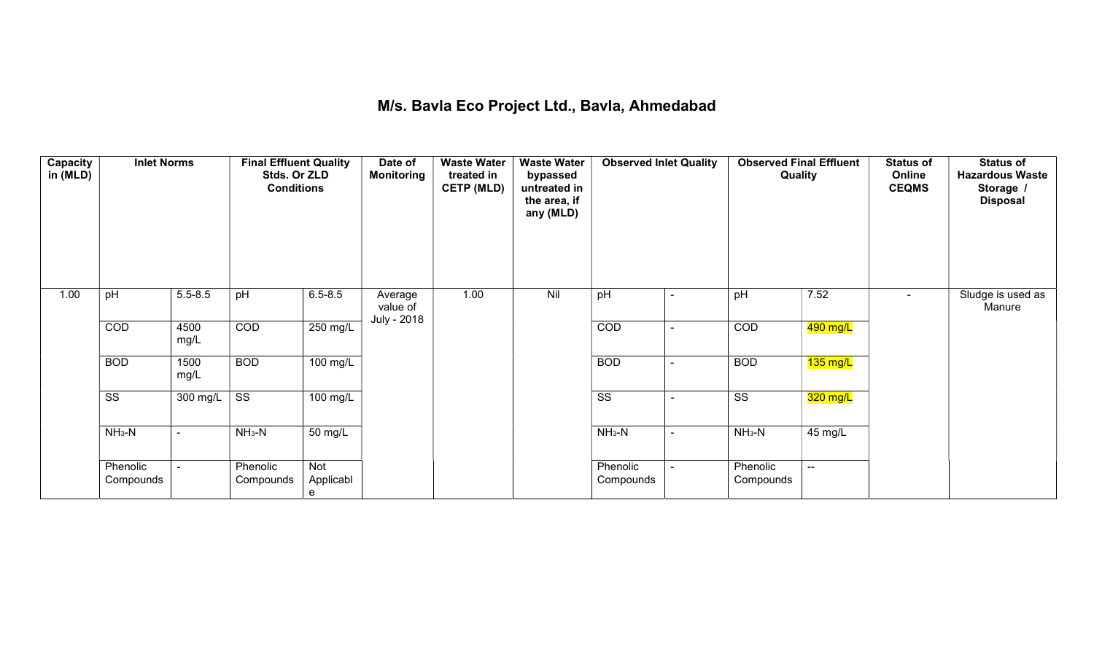## M/s. Bavla Eco Project Ltd., Bavla, Ahmedabad

| Capacity<br>in (MLD) | <b>Inlet Norms</b>     |                          | <b>Final Effluent Quality</b><br>Stds. Or ZLD<br><b>Conditions</b> |                              | Date of<br><b>Monitoring</b>       | <b>Waste Water</b><br>treated in<br><b>CETP (MLD)</b> | <b>Waste Water</b><br>bypassed<br>untreated in<br>the area, if<br>any (MLD) | <b>Observed Inlet Quality</b> |                          | <b>Observed Final Effluent</b><br>Quality |                    | <b>Status of</b><br>Online<br><b>CEQMS</b> | <b>Status of</b><br><b>Hazardous Waste</b><br>Storage /<br><b>Disposal</b> |
|----------------------|------------------------|--------------------------|--------------------------------------------------------------------|------------------------------|------------------------------------|-------------------------------------------------------|-----------------------------------------------------------------------------|-------------------------------|--------------------------|-------------------------------------------|--------------------|--------------------------------------------|----------------------------------------------------------------------------|
| 1.00                 | pH                     | $5.5 - 8.5$              | pH                                                                 | $6.5 - 8.5$                  | Average<br>value of<br>July - 2018 | 1.00                                                  | Nil                                                                         | pH                            | $\blacksquare$           | pH                                        | 7.52               | $\sim$                                     | Sludge is used as<br>Manure                                                |
|                      | COD                    | 4500<br>mg/L             | COD                                                                | 250 mg/L                     |                                    |                                                       |                                                                             | COD                           | $\sim$                   | COD                                       | 490 mg/L           |                                            |                                                                            |
|                      | <b>BOD</b>             | 1500<br>mg/L             | <b>BOD</b>                                                         | $100$ mg/L                   |                                    |                                                       |                                                                             | <b>BOD</b>                    | $\sim$                   | <b>BOD</b>                                | $135 \text{ mg/L}$ |                                            |                                                                            |
|                      | $\overline{\text{SS}}$ | 300 mg/L                 | $\overline{\text{ss}}$                                             | 100 mg/L                     |                                    |                                                       |                                                                             | $\overline{\text{ss}}$        | $\overline{\phantom{a}}$ | $\overline{\text{ss}}$                    | $320$ mg/L         |                                            |                                                                            |
|                      | $NH3-N$                | $\overline{\phantom{a}}$ | $NH3-N$                                                            | 50 mg/L                      |                                    |                                                       |                                                                             | $NH3-N$                       | $\sim$                   | $NH3-N$                                   | 45 mg/L            |                                            |                                                                            |
|                      | Phenolic<br>Compounds  | $\blacksquare$           | Phenolic<br>Compounds                                              | <b>Not</b><br>Applicabl<br>e |                                    |                                                       |                                                                             | Phenolic<br>Compounds         | ۰.                       | Phenolic<br>Compounds                     | $\mathbf{u}$       |                                            |                                                                            |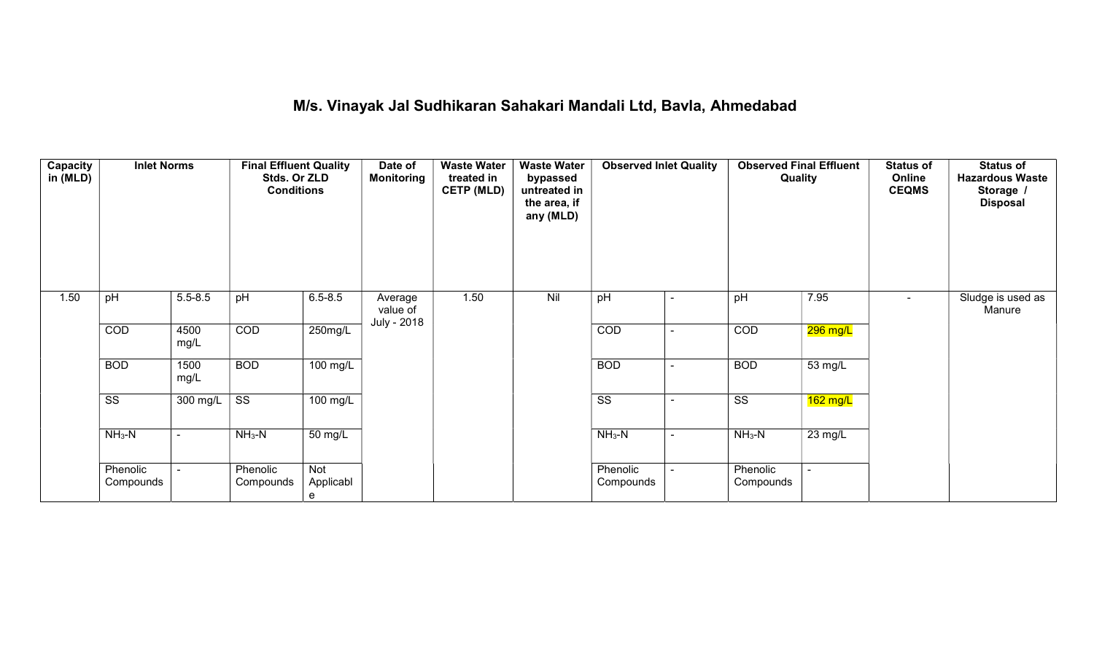## M/s. Vinayak Jal Sudhikaran Sahakari Mandali Ltd, Bavla, Ahmedabad

| Capacity<br>in (MLD) | <b>Inlet Norms</b>     |              | <b>Final Effluent Quality</b><br>Stds. Or ZLD<br><b>Conditions</b> |                       | Date of<br><b>Monitoring</b> | <b>Waste Water</b><br>treated in<br><b>CETP (MLD)</b><br>1.50 | <b>Waste Water</b><br>bypassed<br>untreated in<br>the area, if<br>any (MLD)<br>Nil | <b>Observed Inlet Quality</b> |                          | <b>Observed Final Effluent</b><br>Quality |            | <b>Status of</b><br>Online<br><b>CEQMS</b> | <b>Status of</b><br><b>Hazardous Waste</b><br>Storage /<br><b>Disposal</b> |
|----------------------|------------------------|--------------|--------------------------------------------------------------------|-----------------------|------------------------------|---------------------------------------------------------------|------------------------------------------------------------------------------------|-------------------------------|--------------------------|-------------------------------------------|------------|--------------------------------------------|----------------------------------------------------------------------------|
| 1.50                 | pH                     | $5.5 - 8.5$  | pH                                                                 | $6.5 - 8.5$           | Average<br>value of          |                                                               |                                                                                    | pH                            | $\blacksquare$           | pH                                        | 7.95       | $\sim$                                     | Sludge is used as<br>Manure                                                |
|                      | COD                    | 4500<br>mg/L | COD                                                                | 250mg/L               | July - 2018                  |                                                               |                                                                                    | COD                           | $\blacksquare$           | COD                                       | $296$ mg/L |                                            |                                                                            |
|                      | <b>BOD</b>             | 1500<br>mg/L | <b>BOD</b>                                                         | 100 mg/L              |                              |                                                               |                                                                                    | <b>BOD</b>                    | $\overline{\phantom{a}}$ | <b>BOD</b>                                | 53 mg/L    |                                            |                                                                            |
|                      | $\overline{\text{ss}}$ | $300$ mg/L   | $\overline{\text{SS}}$                                             | $100$ mg/L            |                              |                                                               |                                                                                    | $\overline{\text{ss}}$        |                          | $\overline{\text{ss}}$                    | $162$ mg/L |                                            |                                                                            |
|                      | $NH3-N$                | $\sim$       | $NH3-N$                                                            | 50 mg/L               |                              |                                                               |                                                                                    | $NH3-N$                       | $\sim$                   | $NH3-N$                                   | 23 mg/L    |                                            |                                                                            |
|                      | Phenolic<br>Compounds  |              | Phenolic<br>Compounds                                              | Not<br>Applicabl<br>e |                              |                                                               |                                                                                    | Phenolic<br>Compounds         |                          | Phenolic<br>Compounds                     |            |                                            |                                                                            |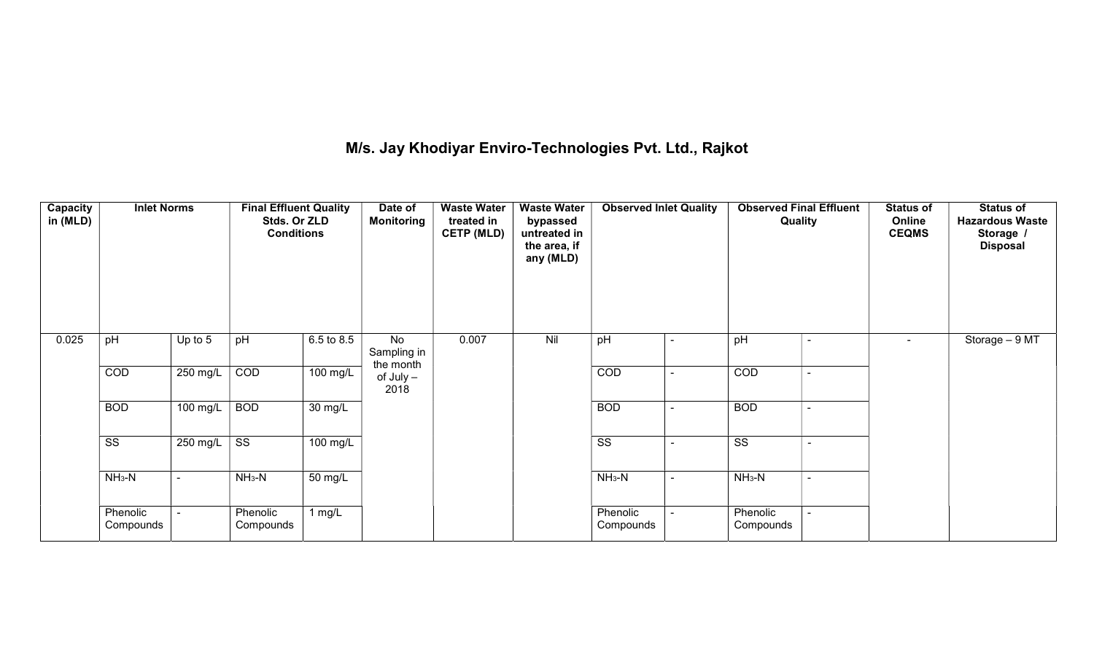## M/s. Jay Khodiyar Enviro-Technologies Pvt. Ltd., Rajkot

| Capacity<br>in (MLD) | <b>Inlet Norms</b>     |                | <b>Final Effluent Quality</b><br>Stds. Or ZLD<br><b>Conditions</b> |                      | Date of<br><b>Monitoring</b>   | <b>Waste Water</b><br>treated in<br><b>CETP (MLD)</b> | <b>Waste Water</b><br>bypassed<br>untreated in<br>the area, if<br>any (MLD) | <b>Observed Inlet Quality</b> |                          | Quality                |                          | <b>Status of</b><br>Online<br><b>CEQMS</b> | <b>Status of</b><br><b>Hazardous Waste</b><br>Storage /<br><b>Disposal</b> |
|----------------------|------------------------|----------------|--------------------------------------------------------------------|----------------------|--------------------------------|-------------------------------------------------------|-----------------------------------------------------------------------------|-------------------------------|--------------------------|------------------------|--------------------------|--------------------------------------------|----------------------------------------------------------------------------|
| 0.025                | pH                     | Up to 5        | pH                                                                 | 6.5 to 8.5           | No<br>Sampling in<br>the month | 0.007                                                 | Nil                                                                         | pH                            | $\blacksquare$           | pH                     | $\blacksquare$           | $\blacksquare$                             | Storage - 9 MT                                                             |
|                      | COD                    | 250 mg/L       | COD                                                                | 100 mg/L             | $of$ July $-$<br>2018          |                                                       |                                                                             | COD                           | $\sim$                   | COD                    | $\sim$                   |                                            |                                                                            |
|                      | <b>BOD</b>             | 100 mg/L       | <b>BOD</b>                                                         | 30 mg/L              |                                |                                                       |                                                                             | <b>BOD</b>                    | $\blacksquare$           | <b>BOD</b>             | ۰                        |                                            |                                                                            |
|                      | $\overline{\text{SS}}$ | 250 mg/L       | $\overline{\text{ss}}$                                             | 100 mg/L             |                                |                                                       |                                                                             | $\overline{\text{ss}}$        | $\overline{\phantom{0}}$ | $\overline{\text{ss}}$ | $\overline{\phantom{a}}$ |                                            |                                                                            |
|                      | $NH3-N$                | $\blacksquare$ | $NH3-N$                                                            | $\overline{50}$ mg/L |                                |                                                       |                                                                             | $NH3-N$                       | $\blacksquare$           | $NH3-N$                | $\blacksquare$           |                                            |                                                                            |
|                      | Phenolic<br>Compounds  |                | Phenolic<br>Compounds                                              | 1 mg/ $\overline{L}$ |                                |                                                       |                                                                             | Phenolic<br>Compounds         |                          | Phenolic<br>Compounds  |                          |                                            |                                                                            |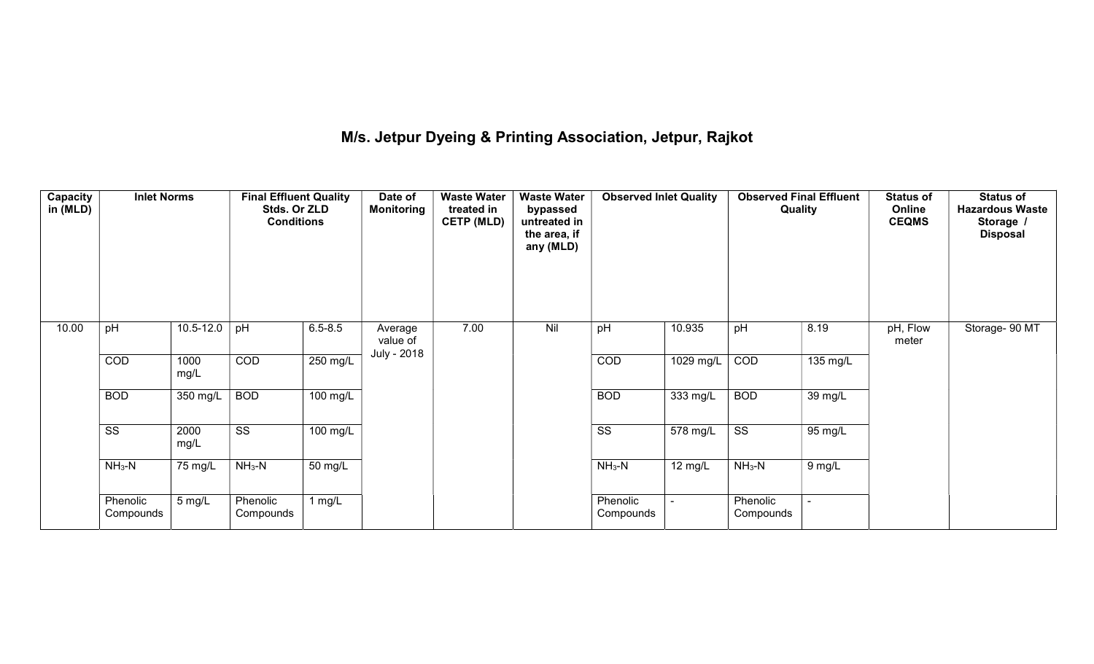## M/s. Jetpur Dyeing & Printing Association, Jetpur, Rajkot

| Capacity<br>in (MLD) | <b>Inlet Norms</b>     |                  | <b>Final Effluent Quality</b><br>Stds. Or ZLD<br><b>Conditions</b> |                      | Date of<br><b>Monitoring</b> | <b>Waste Water</b><br>treated in<br><b>CETP (MLD)</b> | <b>Waste Water</b><br>bypassed<br>untreated in<br>the area, if<br>any (MLD) | <b>Observed Inlet Quality</b> |                   | Quality                | <b>Observed Final Effluent</b> | <b>Status of</b><br>Online<br><b>CEQMS</b> | <b>Status of</b><br><b>Hazardous Waste</b><br>Storage<br><b>Disposal</b> |
|----------------------|------------------------|------------------|--------------------------------------------------------------------|----------------------|------------------------------|-------------------------------------------------------|-----------------------------------------------------------------------------|-------------------------------|-------------------|------------------------|--------------------------------|--------------------------------------------|--------------------------------------------------------------------------|
| 10.00                | pH                     | $10.5 - 12.0$    | pH                                                                 | $6.5 - 8.5$          | Average<br>value of          | 7.00                                                  | Nil                                                                         | pH                            | 10.935            | pH                     | 8.19                           | pH, Flow<br>meter                          | Storage- 90 MT                                                           |
|                      | COD                    | 1000<br>mg/L     | COD                                                                | 250 mg/L             | July - 2018                  |                                                       |                                                                             | COD                           | 1029 mg/L         | COD                    | 135 mg/L                       |                                            |                                                                          |
|                      | <b>BOD</b>             | 350 mg/L         | <b>BOD</b>                                                         | 100 mg/L             |                              |                                                       |                                                                             | <b>BOD</b>                    | 333 mg/L          | <b>BOD</b>             | 39 mg/L                        |                                            |                                                                          |
|                      | $\overline{\text{ss}}$ | 2000<br>mg/L     | $\overline{\text{SS}}$                                             | 100 mg/L             |                              |                                                       |                                                                             | $\overline{\text{SS}}$        | 578 mg/L          | $\overline{\text{SS}}$ | 95 mg/L                        |                                            |                                                                          |
|                      | $NH3-N$                | 75 mg/L          | $NH3-N$                                                            | $\overline{50}$ mg/L |                              |                                                       |                                                                             | $NH3-N$                       | $12 \text{ mg/L}$ | $NH3-N$                | 9 mg/L                         |                                            |                                                                          |
|                      | Phenolic<br>Compounds  | $5 \text{ mg/L}$ | Phenolic<br>Compounds                                              | 1 $mg/L$             |                              |                                                       |                                                                             | Phenolic<br>Compounds         |                   | Phenolic<br>Compounds  |                                |                                            |                                                                          |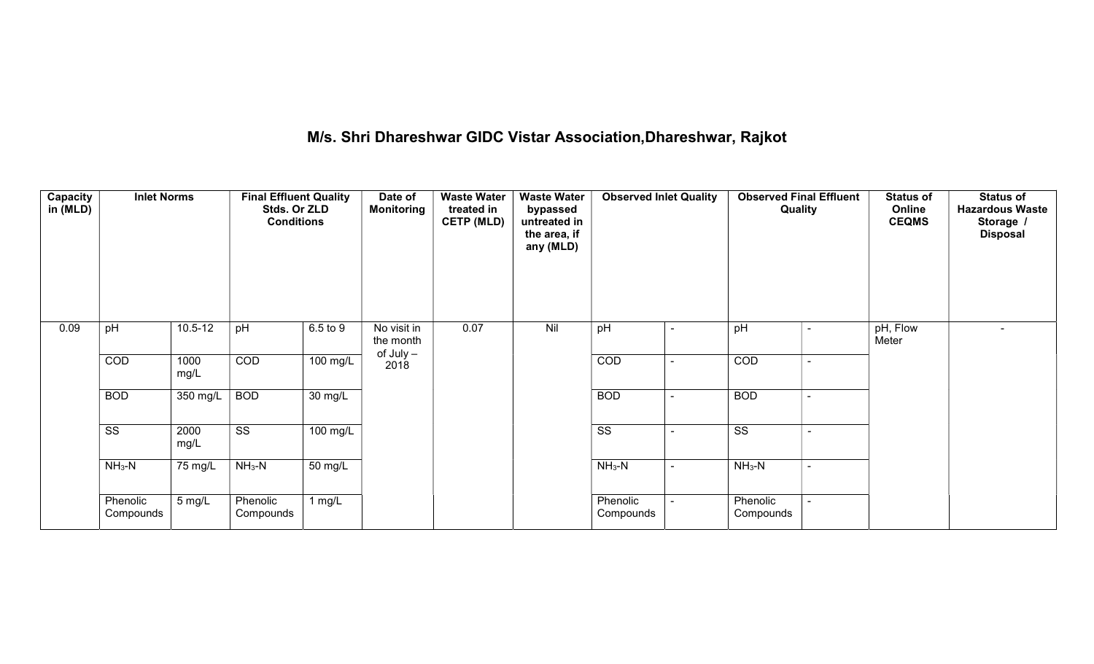## M/s. Shri Dhareshwar GIDC Vistar Association,Dhareshwar, Rajkot

| Capacity<br>in (MLD) | <b>Inlet Norms</b>     |                  | <b>Final Effluent Quality</b><br>Stds. Or ZLD<br><b>Conditions</b> |                      | Date of<br><b>Monitoring</b> | <b>Waste Water</b><br>treated in<br><b>CETP (MLD)</b> | <b>Waste Water</b><br>bypassed<br>untreated in<br>the area, if<br>any (MLD) | <b>Observed Inlet Quality</b> |                          | <b>Observed Final Effluent</b><br>Quality |  | <b>Status of</b><br>Online<br><b>CEQMS</b> | <b>Status of</b><br><b>Hazardous Waste</b><br>Storage /<br><b>Disposal</b> |
|----------------------|------------------------|------------------|--------------------------------------------------------------------|----------------------|------------------------------|-------------------------------------------------------|-----------------------------------------------------------------------------|-------------------------------|--------------------------|-------------------------------------------|--|--------------------------------------------|----------------------------------------------------------------------------|
| 0.09                 | pH                     | $10.5 - 12$      | pH                                                                 | 6.5 to 9             | No visit in<br>the month     | 0.07                                                  | Nil                                                                         | pH                            | $\overline{\phantom{a}}$ | pH                                        |  | pH, Flow<br>Meter                          | $\overline{\phantom{0}}$                                                   |
|                      | COD                    | 1000<br>mg/L     | COD                                                                | 100 mg/L             | of July -<br>2018            |                                                       |                                                                             | COD                           | $\overline{\phantom{0}}$ | COD                                       |  |                                            |                                                                            |
|                      | <b>BOD</b>             | 350 mg/L         | <b>BOD</b>                                                         | $\overline{30}$ mg/L |                              |                                                       |                                                                             | <b>BOD</b>                    | $\sim$                   | <b>BOD</b>                                |  |                                            |                                                                            |
|                      | $\overline{\text{ss}}$ | 2000<br>mg/L     | $\overline{\text{ss}}$                                             | $100 \text{ mg/L}$   |                              |                                                       |                                                                             | $\overline{\text{SS}}$        |                          | $\overline{\text{SS}}$                    |  |                                            |                                                                            |
|                      | $NH3-N$                | 75 mg/L          | $NH3-N$                                                            | $\overline{50}$ mg/L |                              |                                                       |                                                                             | $NH3-N$                       | $\sim$                   | $NH_3-N$                                  |  |                                            |                                                                            |
|                      | Phenolic<br>Compounds  | $5 \text{ mg/L}$ | Phenolic<br>Compounds                                              | 1 $mg/L$             |                              |                                                       |                                                                             | Phenolic<br>Compounds         |                          | Phenolic<br>Compounds                     |  |                                            |                                                                            |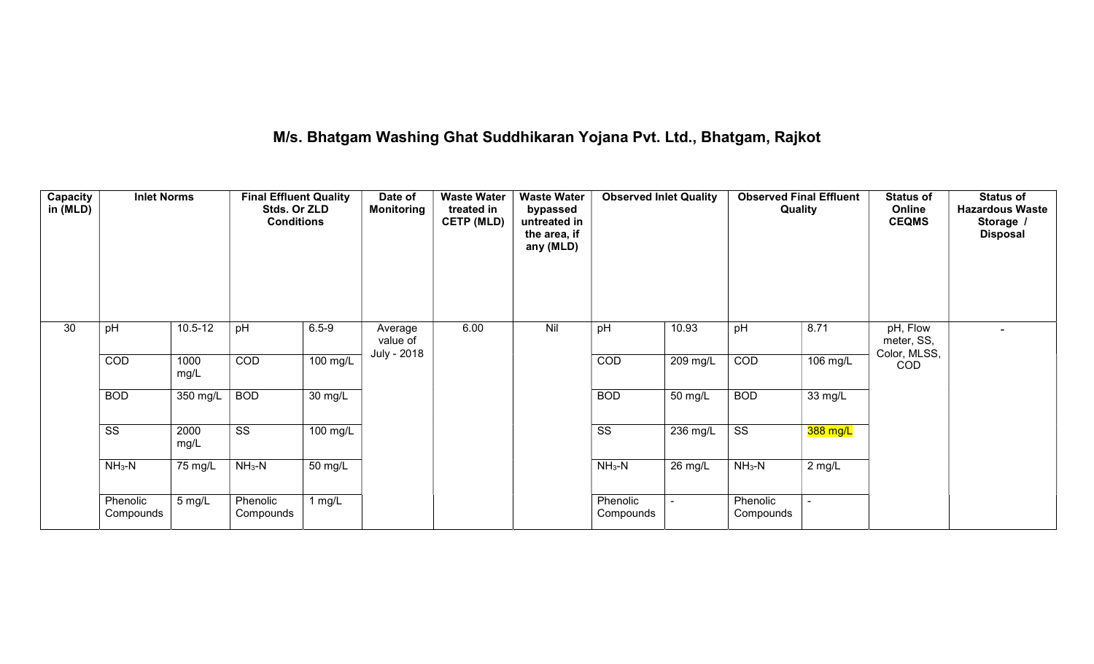## M/s. Bhatgam Washing Ghat Suddhikaran Yojana Pvt. Ltd., Bhatgam, Rajkot

| Capacity<br>in (MLD) | <b>Inlet Norms</b><br><b>Final Effluent Quality</b><br>Stds. Or ZLD<br><b>Conditions</b> |              |                        | <b>Waste Water</b><br>Date of<br><b>Monitoring</b><br>treated in<br><b>CETP (MLD)</b> |                                    | <b>Waste Water</b><br>bypassed<br>untreated in<br>the area, if<br>any (MLD) | <b>Observed Inlet Quality</b> |                        | <b>Observed Final Effluent</b><br>Quality |                        | <b>Status of</b><br>Online<br><b>CEQMS</b> | <b>Status of</b><br><b>Hazardous Waste</b><br>Storage /<br><b>Disposal</b> |  |
|----------------------|------------------------------------------------------------------------------------------|--------------|------------------------|---------------------------------------------------------------------------------------|------------------------------------|-----------------------------------------------------------------------------|-------------------------------|------------------------|-------------------------------------------|------------------------|--------------------------------------------|----------------------------------------------------------------------------|--|
| 30                   | pH                                                                                       | $10.5 - 12$  | pH                     | $6.5 - 9$                                                                             | Average<br>value of<br>July - 2018 | 6.00                                                                        | Nil                           | pH                     | 10.93                                     | pH                     | 8.71                                       | pH, Flow<br>meter, SS,<br>Color, MLSS,                                     |  |
|                      | COD                                                                                      | 1000<br>mg/L | COD                    | 100 mg/L                                                                              |                                    |                                                                             |                               | COD                    | 209 mg/L                                  | COD                    | 106 mg/L                                   | COD                                                                        |  |
|                      | <b>BOD</b>                                                                               | $350$ mg/L   | <b>BOD</b>             | $\overline{30}$ mg/L                                                                  |                                    |                                                                             |                               | <b>BOD</b>             | 50 mg/L                                   | <b>BOD</b>             | 33 mg/L                                    |                                                                            |  |
|                      | $\overline{\text{ss}}$                                                                   | 2000<br>mg/L | $\overline{\text{ss}}$ | 100 mg/L                                                                              |                                    |                                                                             |                               | $\overline{\text{ss}}$ | $\overline{236}$ mg/L                     | $\overline{\text{SS}}$ | 388 mg/L                                   |                                                                            |  |
|                      | $NH3-N$                                                                                  | 75 mg/L      | $NH3-N$                | $\overline{50}$ mg/L                                                                  |                                    |                                                                             |                               | $NH3-N$                | $26$ mg/L                                 | $NH3-N$                | 2 mg/L                                     |                                                                            |  |
|                      | Phenolic<br>Compounds                                                                    | 5 mg/L       | Phenolic<br>Compounds  | 1 mg/L                                                                                |                                    |                                                                             |                               | Phenolic<br>Compounds  |                                           | Phenolic<br>Compounds  | $\overline{\phantom{a}}$                   |                                                                            |  |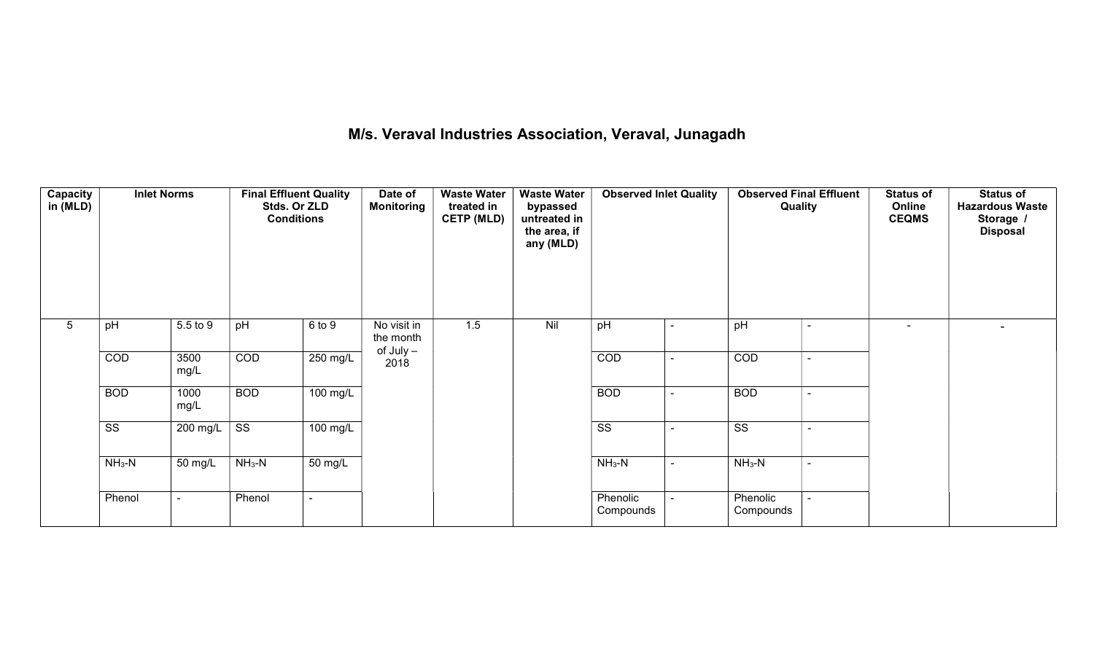## M/s. Veraval Industries Association, Veraval, Junagadh

| Capacity<br>in (MLD) | <b>Inlet Norms</b>     |              | <b>Final Effluent Quality</b><br>Stds. Or ZLD<br><b>Conditions</b> |            | Date of<br><b>Monitoring</b> | <b>Waste Water</b><br>treated in<br><b>CETP (MLD)</b> | <b>Waste Water</b><br>bypassed<br>untreated in<br>the area, if<br>any (MLD) | <b>Observed Inlet Quality</b><br><b>Observed Final Effluent</b><br>Quality |                          | <b>Status of</b><br>Online<br><b>CEQMS</b> | <b>Status of</b><br><b>Hazardous Waste</b><br>Storage /<br><b>Disposal</b> |                          |
|----------------------|------------------------|--------------|--------------------------------------------------------------------|------------|------------------------------|-------------------------------------------------------|-----------------------------------------------------------------------------|----------------------------------------------------------------------------|--------------------------|--------------------------------------------|----------------------------------------------------------------------------|--------------------------|
| $5\phantom{.0}$      | pH                     | 5.5 to 9     | pH                                                                 | 6 to 9     | No visit in<br>the month     | 1.5                                                   | Nil                                                                         | pH                                                                         |                          | pH                                         | $\sim$                                                                     | $\overline{\phantom{0}}$ |
|                      | COD                    | 3500<br>mg/L | COD                                                                | 250 mg/L   | of July -<br>2018            |                                                       |                                                                             | COD                                                                        |                          | COD                                        |                                                                            |                          |
|                      | <b>BOD</b>             | 1000<br>mg/L | <b>BOD</b>                                                         | $100$ mg/L |                              |                                                       |                                                                             | <b>BOD</b>                                                                 | $\overline{\phantom{0}}$ | <b>BOD</b>                                 |                                                                            |                          |
|                      | $\overline{\text{ss}}$ | 200 mg/L     | SS                                                                 | $100$ mg/L |                              |                                                       |                                                                             | $\overline{\text{ss}}$                                                     |                          | $\overline{\text{ss}}$                     |                                                                            |                          |
|                      | $NH3-N$                | 50 mg/L      | $NH3-N$                                                            | 50 mg/L    |                              |                                                       |                                                                             | $NH_3-N$                                                                   | $\sim$                   | $NH_3-N$                                   |                                                                            |                          |
|                      | Phenol                 |              | Phenol                                                             |            |                              |                                                       |                                                                             | Phenolic<br>Compounds                                                      |                          | Phenolic<br>Compounds                      |                                                                            |                          |